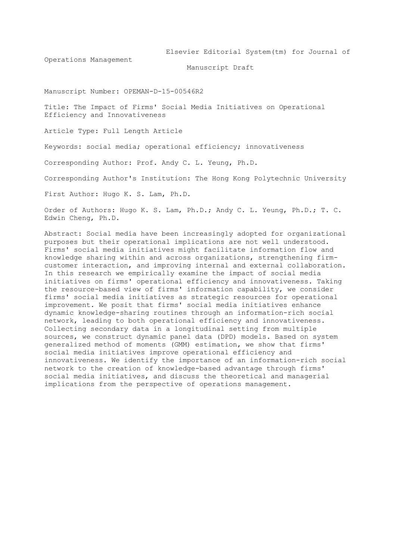Elsevier Editorial System(tm) for Journal of

Operations Management

Manuscript Draft

Manuscript Number: OPEMAN-D-15-00546R2

Title: The Impact of Firms' Social Media Initiatives on Operational Efficiency and Innovativeness

Article Type: Full Length Article

Keywords: social media; operational efficiency; innovativeness

Corresponding Author: Prof. Andy C. L. Yeung, Ph.D.

Corresponding Author's Institution: The Hong Kong Polytechnic University

First Author: Hugo K. S. Lam, Ph.D.

Order of Authors: Hugo K. S. Lam, Ph.D.; Andy C. L. Yeung, Ph.D.; T. C. Edwin Cheng, Ph.D.

Abstract: Social media have been increasingly adopted for organizational purposes but their operational implications are not well understood. Firms' social media initiatives might facilitate information flow and knowledge sharing within and across organizations, strengthening firmcustomer interaction, and improving internal and external collaboration. In this research we empirically examine the impact of social media initiatives on firms' operational efficiency and innovativeness. Taking the resource-based view of firms' information capability, we consider firms' social media initiatives as strategic resources for operational improvement. We posit that firms' social media initiatives enhance dynamic knowledge-sharing routines through an information-rich social network, leading to both operational efficiency and innovativeness. Collecting secondary data in a longitudinal setting from multiple sources, we construct dynamic panel data (DPD) models. Based on system generalized method of moments (GMM) estimation, we show that firms' social media initiatives improve operational efficiency and innovativeness. We identify the importance of an information-rich social network to the creation of knowledge-based advantage through firms' social media initiatives, and discuss the theoretical and managerial implications from the perspective of operations management.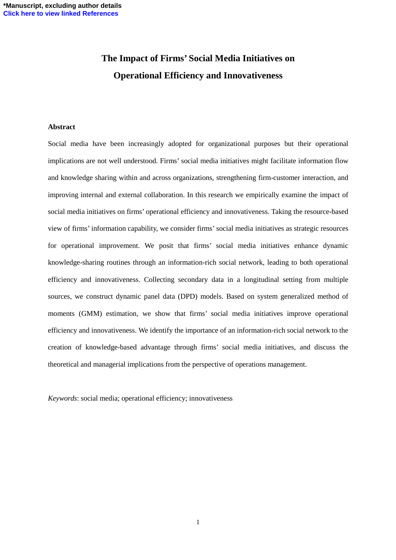# **The Impact of Firms' Social Media Initiatives on Operational Efficiency and Innovativeness**

### **Abstract**

Social media have been increasingly adopted for organizational purposes but their operational implications are not well understood. Firms' social media initiatives might facilitate information flow and knowledge sharing within and across organizations, strengthening firm-customer interaction, and improving internal and external collaboration. In this research we empirically examine the impact of social media initiatives on firms' operational efficiency and innovativeness. Taking the resource-based view of firms' information capability, we consider firms' social media initiatives as strategic resources for operational improvement. We posit that firms' social media initiatives enhance dynamic knowledge-sharing routines through an information-rich social network, leading to both operational efficiency and innovativeness. Collecting secondary data in a longitudinal setting from multiple sources, we construct dynamic panel data (DPD) models. Based on system generalized method of moments (GMM) estimation, we show that firms' social media initiatives improve operational efficiency and innovativeness. We identify the importance of an information-rich social network to the creation of knowledge-based advantage through firms' social media initiatives, and discuss the theoretical and managerial implications from the perspective of operations management.

*Keywords*: social media; operational efficiency; innovativeness

1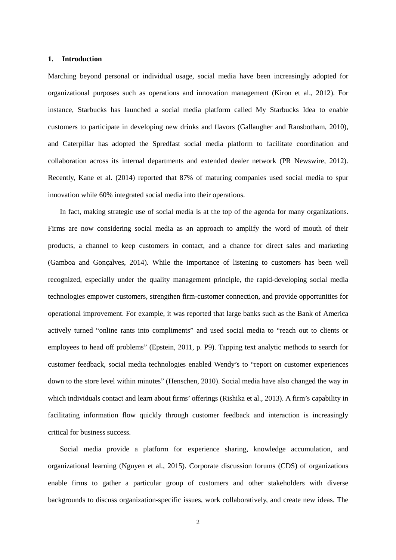#### **1. Introduction**

Marching beyond personal or individual usage, social media have been increasingly adopted for organizational purposes such as operations and innovation management (Kiron et al., 2012). For instance, Starbucks has launched a social media platform called My Starbucks Idea to enable customers to participate in developing new drinks and flavors (Gallaugher and Ransbotham, 2010), and Caterpillar has adopted the Spredfast social media platform to facilitate coordination and collaboration across its internal departments and extended dealer network (PR Newswire, 2012). Recently, Kane et al. (2014) reported that 87% of maturing companies used social media to spur innovation while 60% integrated social media into their operations.

In fact, making strategic use of social media is at the top of the agenda for many organizations. Firms are now considering social media as an approach to amplify the word of mouth of their products, a channel to keep customers in contact, and a chance for direct sales and marketing (Gamboa and Gonçalves, 2014). While the importance of listening to customers has been well recognized, especially under the quality management principle, the rapid-developing social media technologies empower customers, strengthen firm-customer connection, and provide opportunities for operational improvement. For example, it was reported that large banks such as the Bank of America actively turned "online rants into compliments" and used social media to "reach out to clients or employees to head off problems" (Epstein, 2011, p. P9). Tapping text analytic methods to search for customer feedback, social media technologies enabled Wendy's to "report on customer experiences down to the store level within minutes" (Henschen, 2010). Social media have also changed the way in which individuals contact and learn about firms' offerings (Rishika et al., 2013). A firm's capability in facilitating information flow quickly through customer feedback and interaction is increasingly critical for business success.

Social media provide a platform for experience sharing, knowledge accumulation, and organizational learning (Nguyen et al., 2015). Corporate discussion forums (CDS) of organizations enable firms to gather a particular group of customers and other stakeholders with diverse backgrounds to discuss organization-specific issues, work collaboratively, and create new ideas. The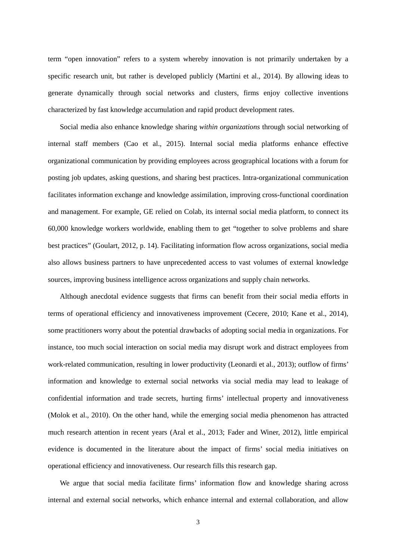term "open innovation" refers to a system whereby innovation is not primarily undertaken by a specific research unit, but rather is developed publicly (Martini et al., 2014). By allowing ideas to generate dynamically through social networks and clusters, firms enjoy collective inventions characterized by fast knowledge accumulation and rapid product development rates.

Social media also enhance knowledge sharing *within organizations* through social networking of internal staff members (Cao et al., 2015). Internal social media platforms enhance effective organizational communication by providing employees across geographical locations with a forum for posting job updates, asking questions, and sharing best practices. Intra-organizational communication facilitates information exchange and knowledge assimilation, improving cross-functional coordination and management. For example, GE relied on Colab, its internal social media platform, to connect its 60,000 knowledge workers worldwide, enabling them to get "together to solve problems and share best practices" (Goulart, 2012, p. 14). Facilitating information flow across organizations, social media also allows business partners to have unprecedented access to vast volumes of external knowledge sources, improving business intelligence across organizations and supply chain networks.

Although anecdotal evidence suggests that firms can benefit from their social media efforts in terms of operational efficiency and innovativeness improvement (Cecere, 2010; Kane et al., 2014), some practitioners worry about the potential drawbacks of adopting social media in organizations. For instance, too much social interaction on social media may disrupt work and distract employees from work-related communication, resulting in lower productivity (Leonardi et al., 2013); outflow of firms' information and knowledge to external social networks via social media may lead to leakage of confidential information and trade secrets, hurting firms' intellectual property and innovativeness (Molok et al., 2010). On the other hand, while the emerging social media phenomenon has attracted much research attention in recent years (Aral et al., 2013; Fader and Winer, 2012), little empirical evidence is documented in the literature about the impact of firms' social media initiatives on operational efficiency and innovativeness. Our research fills this research gap.

We argue that social media facilitate firms' information flow and knowledge sharing across internal and external social networks, which enhance internal and external collaboration, and allow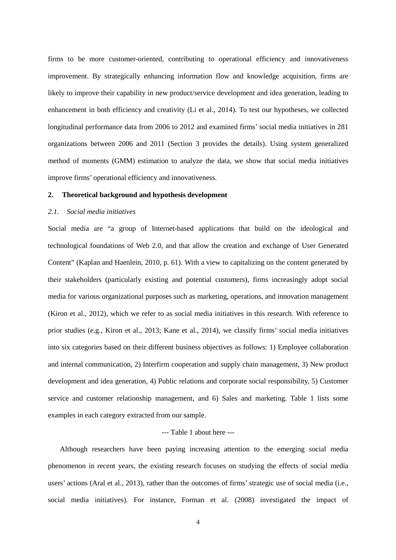firms to be more customer-oriented, contributing to operational efficiency and innovativeness improvement. By strategically enhancing information flow and knowledge acquisition, firms are likely to improve their capability in new product/service development and idea generation, leading to enhancement in both efficiency and creativity (Li et al., 2014). To test our hypotheses, we collected longitudinal performance data from 2006 to 2012 and examined firms' social media initiatives in 281 organizations between 2006 and 2011 (Section 3 provides the details). Using system generalized method of moments (GMM) estimation to analyze the data, we show that social media initiatives improve firms' operational efficiency and innovativeness.

### **2. Theoretical background and hypothesis development**

### *2.1. Social media initiatives*

Social media are "a group of Internet-based applications that build on the ideological and technological foundations of Web 2.0, and that allow the creation and exchange of User Generated Content" (Kaplan and Haenlein, 2010, p. 61). With a view to capitalizing on the content generated by their stakeholders (particularly existing and potential customers), firms increasingly adopt social media for various organizational purposes such as marketing, operations, and innovation management (Kiron et al., 2012), which we refer to as social media initiatives in this research. With reference to prior studies (e.g., Kiron et al., 2013; Kane et al., 2014), we classify firms' social media initiatives into six categories based on their different business objectives as follows: 1) Employee collaboration and internal communication, 2) Interfirm cooperation and supply chain management, 3) New product development and idea generation, 4) Public relations and corporate social responsibility, 5) Customer service and customer relationship management, and 6) Sales and marketing. Table 1 lists some examples in each category extracted from our sample.

#### --- Table 1 about here ---

Although researchers have been paying increasing attention to the emerging social media phenomenon in recent years, the existing research focuses on studying the effects of social media users' actions (Aral et al., 2013), rather than the outcomes of firms' strategic use of social media (i.e., social media initiatives). For instance, Forman et al. (2008) investigated the impact of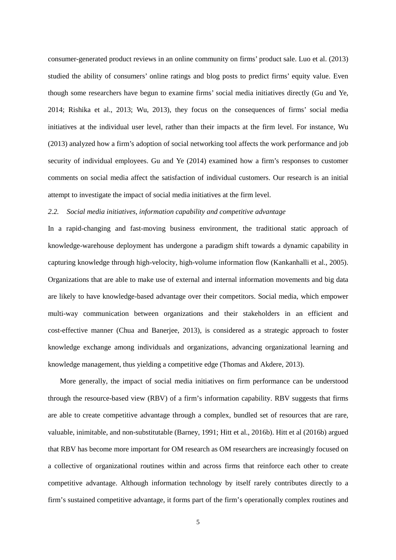consumer-generated product reviews in an online community on firms' product sale. Luo et al. (2013) studied the ability of consumers' online ratings and blog posts to predict firms' equity value. Even though some researchers have begun to examine firms' social media initiatives directly (Gu and Ye, 2014; Rishika et al., 2013; Wu, 2013), they focus on the consequences of firms' social media initiatives at the individual user level, rather than their impacts at the firm level. For instance, Wu (2013) analyzed how a firm's adoption of social networking tool affects the work performance and job security of individual employees. Gu and Ye (2014) examined how a firm's responses to customer comments on social media affect the satisfaction of individual customers. Our research is an initial attempt to investigate the impact of social media initiatives at the firm level.

### *2.2. Social media initiatives, information capability and competitive advantage*

In a rapid-changing and fast-moving business environment, the traditional static approach of knowledge-warehouse deployment has undergone a paradigm shift towards a dynamic capability in capturing knowledge through high-velocity, high-volume information flow (Kankanhalli et al., 2005). Organizations that are able to make use of external and internal information movements and big data are likely to have knowledge-based advantage over their competitors. Social media, which empower multi-way communication between organizations and their stakeholders in an efficient and cost-effective manner (Chua and Banerjee, 2013), is considered as a strategic approach to foster knowledge exchange among individuals and organizations, advancing organizational learning and knowledge management, thus yielding a competitive edge (Thomas and Akdere, 2013).

More generally, the impact of social media initiatives on firm performance can be understood through the resource-based view (RBV) of a firm's information capability. RBV suggests that firms are able to create competitive advantage through a complex, bundled set of resources that are rare, valuable, inimitable, and non-substitutable (Barney, 1991; Hitt et al., 2016b). Hitt et al (2016b) argued that RBV has become more important for OM research as OM researchers are increasingly focused on a collective of organizational routines within and across firms that reinforce each other to create competitive advantage. Although information technology by itself rarely contributes directly to a firm's sustained competitive advantage, it forms part of the firm's operationally complex routines and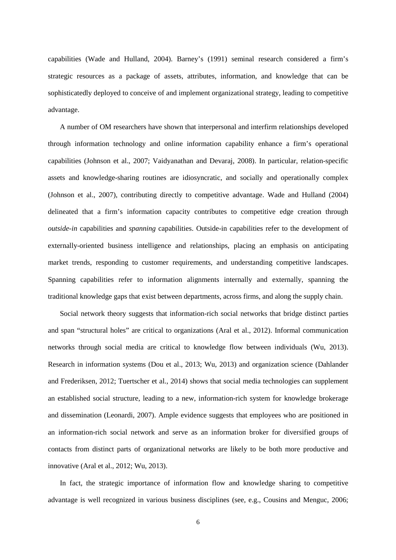capabilities (Wade and Hulland, 2004). Barney's (1991) seminal research considered a firm's strategic resources as a package of assets, attributes, information, and knowledge that can be sophisticatedly deployed to conceive of and implement organizational strategy, leading to competitive advantage.

A number of OM researchers have shown that interpersonal and interfirm relationships developed through information technology and online information capability enhance a firm's operational capabilities (Johnson et al., 2007; Vaidyanathan and Devaraj, 2008). In particular, relation-specific assets and knowledge-sharing routines are idiosyncratic, and socially and operationally complex (Johnson et al., 2007), contributing directly to competitive advantage. Wade and Hulland (2004) delineated that a firm's information capacity contributes to competitive edge creation through *outside-in* capabilities and *spanning* capabilities. Outside-in capabilities refer to the development of externally-oriented business intelligence and relationships, placing an emphasis on anticipating market trends, responding to customer requirements, and understanding competitive landscapes. Spanning capabilities refer to information alignments internally and externally, spanning the traditional knowledge gaps that exist between departments, across firms, and along the supply chain.

Social network theory suggests that information-rich social networks that bridge distinct parties and span "structural holes" are critical to organizations (Aral et al., 2012). Informal communication networks through social media are critical to knowledge flow between individuals (Wu, 2013). Research in information systems (Dou et al., 2013; Wu, 2013) and organization science (Dahlander and Frederiksen, 2012; Tuertscher et al., 2014) shows that social media technologies can supplement an established social structure, leading to a new, information-rich system for knowledge brokerage and dissemination (Leonardi, 2007). Ample evidence suggests that employees who are positioned in an information-rich social network and serve as an information broker for diversified groups of contacts from distinct parts of organizational networks are likely to be both more productive and innovative (Aral et al., 2012; Wu, 2013).

In fact, the strategic importance of information flow and knowledge sharing to competitive advantage is well recognized in various business disciplines (see, e.g., Cousins and Menguc, 2006;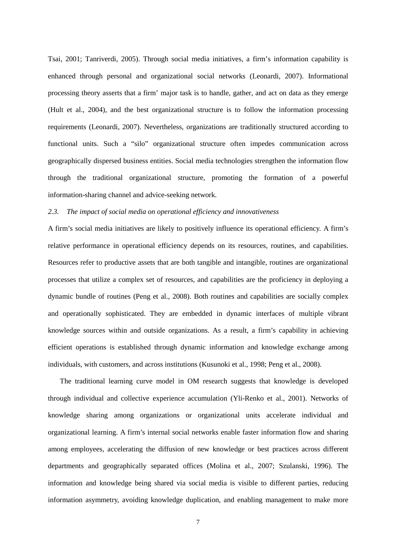Tsai, 2001; Tanriverdi, 2005). Through social media initiatives, a firm's information capability is enhanced through personal and organizational social networks (Leonardi, 2007). Informational processing theory asserts that a firm' major task is to handle, gather, and act on data as they emerge (Hult et al., 2004), and the best organizational structure is to follow the information processing requirements (Leonardi, 2007). Nevertheless, organizations are traditionally structured according to functional units. Such a "silo" organizational structure often impedes communication across geographically dispersed business entities. Social media technologies strengthen the information flow through the traditional organizational structure, promoting the formation of a powerful information-sharing channel and advice-seeking network.

### *2.3. The impact of social media on operational efficiency and innovativeness*

A firm's social media initiatives are likely to positively influence its operational efficiency. A firm's relative performance in operational efficiency depends on its resources, routines, and capabilities. Resources refer to productive assets that are both tangible and intangible, routines are organizational processes that utilize a complex set of resources, and capabilities are the proficiency in deploying a dynamic bundle of routines (Peng et al., 2008). Both routines and capabilities are socially complex and operationally sophisticated. They are embedded in dynamic interfaces of multiple vibrant knowledge sources within and outside organizations. As a result, a firm's capability in achieving efficient operations is established through dynamic information and knowledge exchange among individuals, with customers, and across institutions (Kusunoki et al., 1998; Peng et al., 2008).

The traditional learning curve model in OM research suggests that knowledge is developed through individual and collective experience accumulation (Yli-Renko et al., 2001). Networks of knowledge sharing among organizations or organizational units accelerate individual and organizational learning. A firm's internal social networks enable faster information flow and sharing among employees, accelerating the diffusion of new knowledge or best practices across different departments and geographically separated offices (Molina et al., 2007; Szulanski, 1996). The information and knowledge being shared via social media is visible to different parties, reducing information asymmetry, avoiding knowledge duplication, and enabling management to make more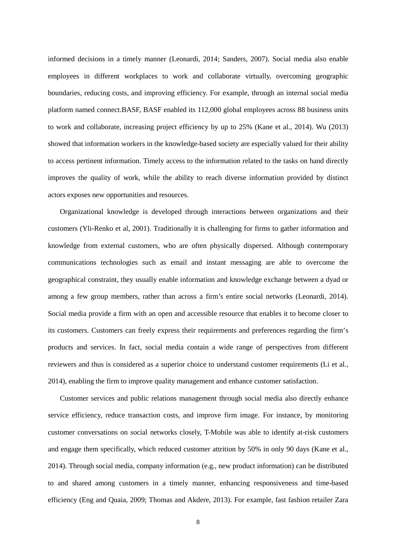informed decisions in a timely manner (Leonardi, 2014; Sanders, 2007). Social media also enable employees in different workplaces to work and collaborate virtually, overcoming geographic boundaries, reducing costs, and improving efficiency. For example, through an internal social media platform named connect.BASF, BASF enabled its 112,000 global employees across 88 business units to work and collaborate, increasing project efficiency by up to 25% (Kane et al., 2014). Wu (2013) showed that information workers in the knowledge-based society are especially valued for their ability to access pertinent information. Timely access to the information related to the tasks on hand directly improves the quality of work, while the ability to reach diverse information provided by distinct actors exposes new opportunities and resources.

Organizational knowledge is developed through interactions between organizations and their customers (Yli-Renko et al, 2001). Traditionally it is challenging for firms to gather information and knowledge from external customers, who are often physically dispersed. Although contemporary communications technologies such as email and instant messaging are able to overcome the geographical constraint, they usually enable information and knowledge exchange between a dyad or among a few group members, rather than across a firm's entire social networks (Leonardi, 2014). Social media provide a firm with an open and accessible resource that enables it to become closer to its customers. Customers can freely express their requirements and preferences regarding the firm's products and services. In fact, social media contain a wide range of perspectives from different reviewers and thus is considered as a superior choice to understand customer requirements (Li et al., 2014), enabling the firm to improve quality management and enhance customer satisfaction.

Customer services and public relations management through social media also directly enhance service efficiency, reduce transaction costs, and improve firm image. For instance, by monitoring customer conversations on social networks closely, T-Mobile was able to identify at-risk customers and engage them specifically, which reduced customer attrition by 50% in only 90 days (Kane et al., 2014). Through social media, company information (e.g., new product information) can be distributed to and shared among customers in a timely manner, enhancing responsiveness and time-based efficiency (Eng and Quaia, 2009; Thomas and Akdere, 2013). For example, fast fashion retailer Zara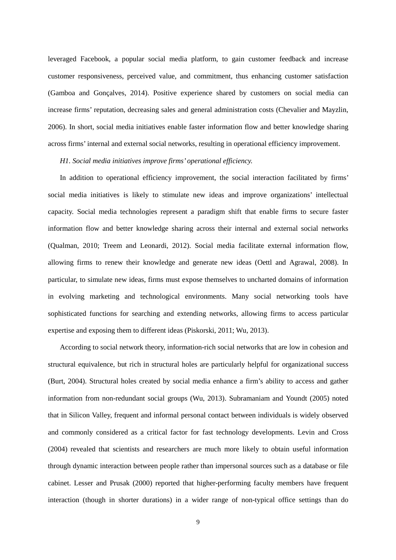leveraged Facebook, a popular social media platform, to gain customer feedback and increase customer responsiveness, perceived value, and commitment, thus enhancing customer satisfaction (Gamboa and Gonçalves, 2014). Positive experience shared by customers on social media can increase firms' reputation, decreasing sales and general administration costs (Chevalier and Mayzlin, 2006). In short, social media initiatives enable faster information flow and better knowledge sharing across firms' internal and external social networks, resulting in operational efficiency improvement.

### *H1. Social media initiatives improve firms' operational efficiency.*

In addition to operational efficiency improvement, the social interaction facilitated by firms' social media initiatives is likely to stimulate new ideas and improve organizations' intellectual capacity. Social media technologies represent a paradigm shift that enable firms to secure faster information flow and better knowledge sharing across their internal and external social networks (Qualman, 2010; Treem and Leonardi, 2012). Social media facilitate external information flow, allowing firms to renew their knowledge and generate new ideas (Oettl and Agrawal, 2008). In particular, to simulate new ideas, firms must expose themselves to uncharted domains of information in evolving marketing and technological environments. Many social networking tools have sophisticated functions for searching and extending networks, allowing firms to access particular expertise and exposing them to different ideas (Piskorski, 2011; Wu, 2013).

According to social network theory, information-rich social networks that are low in cohesion and structural equivalence, but rich in structural holes are particularly helpful for organizational success (Burt, 2004). Structural holes created by social media enhance a firm's ability to access and gather information from non-redundant social groups (Wu, 2013). Subramaniam and Youndt (2005) noted that in Silicon Valley, frequent and informal personal contact between individuals is widely observed and commonly considered as a critical factor for fast technology developments. Levin and Cross (2004) revealed that scientists and researchers are much more likely to obtain useful information through dynamic interaction between people rather than impersonal sources such as a database or file cabinet. Lesser and Prusak (2000) reported that higher-performing faculty members have frequent interaction (though in shorter durations) in a wider range of non-typical office settings than do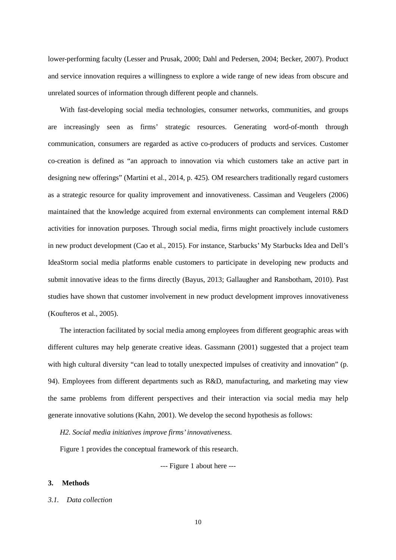lower-performing faculty (Lesser and Prusak, 2000; Dahl and Pedersen, 2004; Becker, 2007). Product and service innovation requires a willingness to explore a wide range of new ideas from obscure and unrelated sources of information through different people and channels.

With fast-developing social media technologies, consumer networks, communities, and groups are increasingly seen as firms' strategic resources. Generating word-of-month through communication, consumers are regarded as active co-producers of products and services. Customer co-creation is defined as "an approach to innovation via which customers take an active part in designing new offerings" (Martini et al., 2014, p. 425). OM researchers traditionally regard customers as a strategic resource for quality improvement and innovativeness. Cassiman and Veugelers (2006) maintained that the knowledge acquired from external environments can complement internal R&D activities for innovation purposes. Through social media, firms might proactively include customers in new product development (Cao et al., 2015). For instance, Starbucks' My Starbucks Idea and Dell's IdeaStorm social media platforms enable customers to participate in developing new products and submit innovative ideas to the firms directly (Bayus, 2013; Gallaugher and Ransbotham, 2010). Past studies have shown that customer involvement in new product development improves innovativeness (Koufteros et al., 2005).

The interaction facilitated by social media among employees from different geographic areas with different cultures may help generate creative ideas. Gassmann (2001) suggested that a project team with high cultural diversity "can lead to totally unexpected impulses of creativity and innovation" (p. 94). Employees from different departments such as R&D, manufacturing, and marketing may view the same problems from different perspectives and their interaction via social media may help generate innovative solutions (Kahn, 2001). We develop the second hypothesis as follows:

*H2. Social media initiatives improve firms' innovativeness.* 

Figure 1 provides the conceptual framework of this research.

--- Figure 1 about here ---

### **3. Methods**

### *3.1. Data collection*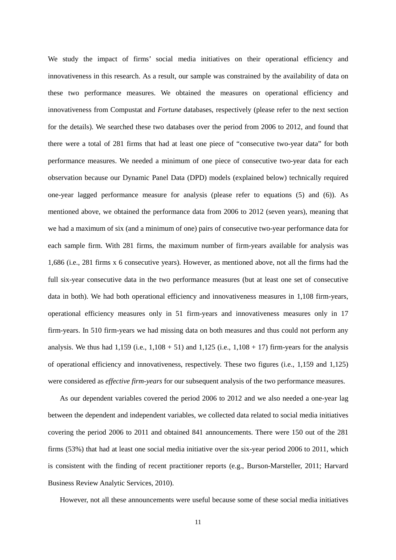We study the impact of firms' social media initiatives on their operational efficiency and innovativeness in this research. As a result, our sample was constrained by the availability of data on these two performance measures. We obtained the measures on operational efficiency and innovativeness from Compustat and *Fortune* databases, respectively (please refer to the next section for the details). We searched these two databases over the period from 2006 to 2012, and found that there were a total of 281 firms that had at least one piece of "consecutive two-year data" for both performance measures. We needed a minimum of one piece of consecutive two-year data for each observation because our Dynamic Panel Data (DPD) models (explained below) technically required one-year lagged performance measure for analysis (please refer to equations (5) and (6)). As mentioned above, we obtained the performance data from 2006 to 2012 (seven years), meaning that we had a maximum of six (and a minimum of one) pairs of consecutive two-year performance data for each sample firm. With 281 firms, the maximum number of firm-years available for analysis was 1,686 (i.e., 281 firms x 6 consecutive years). However, as mentioned above, not all the firms had the full six-year consecutive data in the two performance measures (but at least one set of consecutive data in both). We had both operational efficiency and innovativeness measures in 1,108 firm-years, operational efficiency measures only in 51 firm-years and innovativeness measures only in 17 firm-years. In 510 firm-years we had missing data on both measures and thus could not perform any analysis. We thus had  $1,159$  (i.e.,  $1,108 + 51$ ) and  $1,125$  (i.e.,  $1,108 + 17$ ) firm-years for the analysis of operational efficiency and innovativeness, respectively. These two figures (i.e., 1,159 and 1,125) were considered as *effective firm-years* for our subsequent analysis of the two performance measures.

As our dependent variables covered the period 2006 to 2012 and we also needed a one-year lag between the dependent and independent variables, we collected data related to social media initiatives covering the period 2006 to 2011 and obtained 841 announcements. There were 150 out of the 281 firms (53%) that had at least one social media initiative over the six-year period 2006 to 2011, which is consistent with the finding of recent practitioner reports (e.g., Burson-Marsteller, 2011; Harvard Business Review Analytic Services, 2010).

However, not all these announcements were useful because some of these social media initiatives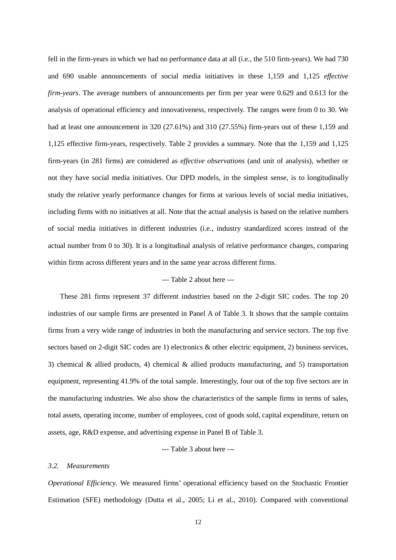fell in the firm-years in which we had no performance data at all (i.e., the 510 firm-years). We had 730 and 690 usable announcements of social media initiatives in these 1,159 and 1,125 *effective firm-years*. The average numbers of announcements per firm per year were 0.629 and 0.613 for the analysis of operational efficiency and innovativeness, respectively. The ranges were from 0 to 30. We had at least one announcement in 320 (27.61%) and 310 (27.55%) firm-years out of these 1,159 and 1,125 effective firm-years, respectively. Table 2 provides a summary. Note that the 1,159 and 1,125 firm-years (in 281 firms) are considered as *effective observations* (and unit of analysis), whether or not they have social media initiatives. Our DPD models, in the simplest sense, is to longitudinally study the relative yearly performance changes for firms at various levels of social media initiatives, including firms with no initiatives at all. Note that the actual analysis is based on the relative numbers of social media initiatives in different industries (i.e., industry standardized scores instead of the actual number from 0 to 30). It is a longitudinal analysis of relative performance changes, comparing within firms across different years and in the same year across different firms.

### --- Table 2 about here ---

These 281 firms represent 37 different industries based on the 2-digit SIC codes. The top 20 industries of our sample firms are presented in Panel A of Table 3. It shows that the sample contains firms from a very wide range of industries in both the manufacturing and service sectors. The top five sectors based on 2-digit SIC codes are 1) electronics & other electric equipment, 2) business services, 3) chemical & allied products, 4) chemical & allied products manufacturing, and 5) transportation equipment, representing 41.9% of the total sample. Interestingly, four out of the top five sectors are in the manufacturing industries. We also show the characteristics of the sample firms in terms of sales, total assets, operating income, number of employees, cost of goods sold, capital expenditure, return on assets, age, R&D expense, and advertising expense in Panel B of Table 3.

--- Table 3 about here ---

### *3.2. Measurements*

*Operational Efficiency*. We measured firms' operational efficiency based on the Stochastic Frontier Estimation (SFE) methodology (Dutta et al., 2005; Li et al., 2010). Compared with conventional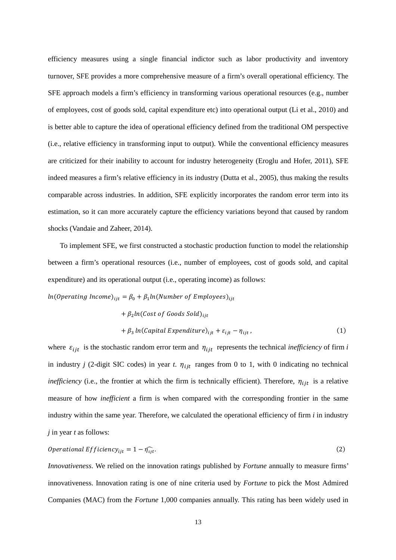efficiency measures using a single financial indictor such as labor productivity and inventory turnover, SFE provides a more comprehensive measure of a firm's overall operational efficiency. The SFE approach models a firm's efficiency in transforming various operational resources (e.g., number of employees, cost of goods sold, capital expenditure etc) into operational output (Li et al., 2010) and is better able to capture the idea of operational efficiency defined from the traditional OM perspective (i.e., relative efficiency in transforming input to output). While the conventional efficiency measures are criticized for their inability to account for industry heterogeneity (Eroglu and Hofer, 2011), SFE indeed measures a firm's relative efficiency in its industry (Dutta et al., 2005), thus making the results comparable across industries. In addition, SFE explicitly incorporates the random error term into its estimation, so it can more accurately capture the efficiency variations beyond that caused by random shocks (Vandaie and Zaheer, 2014).

To implement SFE, we first constructed a stochastic production function to model the relationship between a firm's operational resources (i.e., number of employees, cost of goods sold, and capital expenditure) and its operational output (i.e., operating income) as follows:

 $ln(Operating\ Income)_{ijt} = \beta_0 + \beta_1 ln(Number\ of\ Employees)_{ijt}$ 

$$
+\beta_2 ln(Cost of Goods Sold)_{ijt}
$$
  
+ 
$$
\beta_3 ln(Capital Expenditure)_{ijt} + \varepsilon_{ijt} - \eta_{ijt},
$$
 (1)

where  $\varepsilon_{ijt}$  is the stochastic random error term and  $\eta_{ijt}$  represents the technical *inefficiency* of firm *i* in industry *j* (2-digit SIC codes) in year *t*.  $\eta_{ijt}$  ranges from 0 to 1, with 0 indicating no technical *inefficiency* (i.e., the frontier at which the firm is technically efficient). Therefore,  $\eta_{ijt}$  is a relative measure of how *inefficient* a firm is when compared with the corresponding frontier in the same industry within the same year. Therefore, we calculated the operational efficiency of firm *i* in industry *j* in year *t* as follows:

*Operational Efficiency*<sub>ijt</sub> = 
$$
1 - \widehat{n_{ijt}}
$$
. (2)

*Innovativeness*. We relied on the innovation ratings published by *Fortune* annually to measure firms' innovativeness. Innovation rating is one of nine criteria used by *Fortune* to pick the Most Admired Companies (MAC) from the *Fortune* 1,000 companies annually. This rating has been widely used in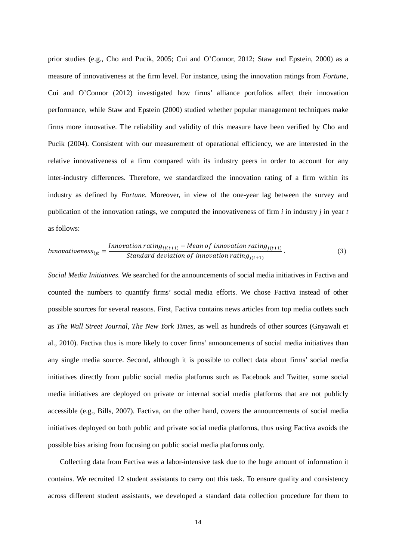prior studies (e.g., Cho and Pucik, 2005; Cui and O'Connor, 2012; Staw and Epstein, 2000) as a measure of innovativeness at the firm level. For instance, using the innovation ratings from *Fortune*, Cui and O'Connor (2012) investigated how firms' alliance portfolios affect their innovation performance, while Staw and Epstein (2000) studied whether popular management techniques make firms more innovative. The reliability and validity of this measure have been verified by Cho and Pucik (2004). Consistent with our measurement of operational efficiency, we are interested in the relative innovativeness of a firm compared with its industry peers in order to account for any inter-industry differences. Therefore, we standardized the innovation rating of a firm within its industry as defined by *Fortune*. Moreover, in view of the one-year lag between the survey and publication of the innovation ratings, we computed the innovativeness of firm *i* in industry *j* in year *t* as follows:

$$
In now a tiveness_{ijt} = \frac{Innovation\ rating_{ij(t+1)} - Mean\ of\ innovation\ rating_{j(t+1)}}{Standard\ deviation\ of\ innovation\ rating_{j(t+1)}}.
$$
\n(3)

*Social Media Initiatives*. We searched for the announcements of social media initiatives in Factiva and counted the numbers to quantify firms' social media efforts. We chose Factiva instead of other possible sources for several reasons. First, Factiva contains news articles from top media outlets such as *The Wall Street Journal*, *The New York Times*, as well as hundreds of other sources (Gnyawali et al., 2010). Factiva thus is more likely to cover firms' announcements of social media initiatives than any single media source. Second, although it is possible to collect data about firms' social media initiatives directly from public social media platforms such as Facebook and Twitter, some social media initiatives are deployed on private or internal social media platforms that are not publicly accessible (e.g., Bills, 2007). Factiva, on the other hand, covers the announcements of social media initiatives deployed on both public and private social media platforms, thus using Factiva avoids the possible bias arising from focusing on public social media platforms only.

Collecting data from Factiva was a labor-intensive task due to the huge amount of information it contains. We recruited 12 student assistants to carry out this task. To ensure quality and consistency across different student assistants, we developed a standard data collection procedure for them to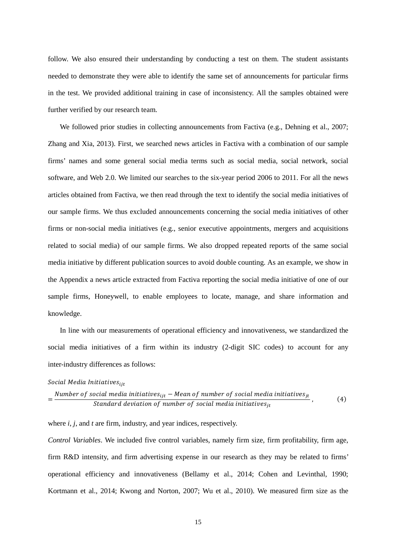follow. We also ensured their understanding by conducting a test on them. The student assistants needed to demonstrate they were able to identify the same set of announcements for particular firms in the test. We provided additional training in case of inconsistency. All the samples obtained were further verified by our research team.

We followed prior studies in collecting announcements from Factiva (e.g., Dehning et al., 2007; Zhang and Xia, 2013). First, we searched news articles in Factiva with a combination of our sample firms' names and some general social media terms such as social media, social network, social software, and Web 2.0. We limited our searches to the six-year period 2006 to 2011. For all the news articles obtained from Factiva, we then read through the text to identify the social media initiatives of our sample firms. We thus excluded announcements concerning the social media initiatives of other firms or non-social media initiatives (e.g., senior executive appointments, mergers and acquisitions related to social media) of our sample firms. We also dropped repeated reports of the same social media initiative by different publication sources to avoid double counting. As an example, we show in the Appendix a news article extracted from Factiva reporting the social media initiative of one of our sample firms, Honeywell, to enable employees to locate, manage, and share information and knowledge.

In line with our measurements of operational efficiency and innovativeness, we standardized the social media initiatives of a firm within its industry (2-digit SIC codes) to account for any inter-industry differences as follows:

### Social Media Initiatives<sub>ijt</sub>

$$
=\frac{Number\ of\ social\ media\ initiatives_{ijt}-Mean\ of\ number\ of\ social\ media\ initiatives_{jt}}{Standard\ deviation\ of\ number\ of\ social\ media\ initiatives_{jt}},
$$
 (4)

where *i*, *j*, and *t* are firm, industry, and year indices, respectively.

*Control Variables*. We included five control variables, namely firm size, firm profitability, firm age, firm R&D intensity, and firm advertising expense in our research as they may be related to firms' operational efficiency and innovativeness (Bellamy et al., 2014; Cohen and Levinthal, 1990; Kortmann et al., 2014; Kwong and Norton, 2007; Wu et al., 2010). We measured firm size as the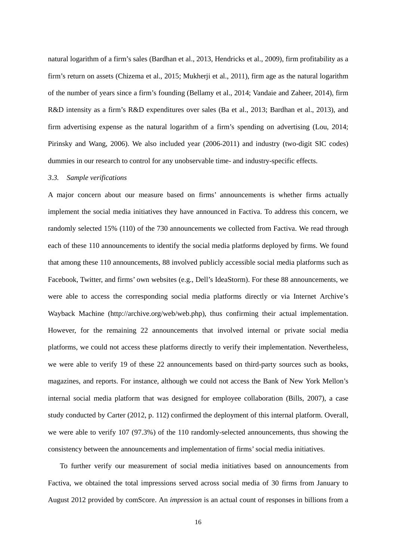natural logarithm of a firm's sales (Bardhan et al., 2013, Hendricks et al., 2009), firm profitability as a firm's return on assets (Chizema et al., 2015; Mukherji et al., 2011), firm age as the natural logarithm of the number of years since a firm's founding (Bellamy et al., 2014; Vandaie and Zaheer, 2014), firm R&D intensity as a firm's R&D expenditures over sales (Ba et al., 2013; Bardhan et al., 2013), and firm advertising expense as the natural logarithm of a firm's spending on advertising (Lou, 2014; Pirinsky and Wang, 2006). We also included year (2006-2011) and industry (two-digit SIC codes) dummies in our research to control for any unobservable time- and industry-specific effects.

### *3.3. Sample verifications*

A major concern about our measure based on firms' announcements is whether firms actually implement the social media initiatives they have announced in Factiva. To address this concern, we randomly selected 15% (110) of the 730 announcements we collected from Factiva. We read through each of these 110 announcements to identify the social media platforms deployed by firms. We found that among these 110 announcements, 88 involved publicly accessible social media platforms such as Facebook, Twitter, and firms' own websites (e.g., Dell's IdeaStorm). For these 88 announcements, we were able to access the corresponding social media platforms directly or via Internet Archive's Wayback Machine (http://archive.org/web/web.php), thus confirming their actual implementation. However, for the remaining 22 announcements that involved internal or private social media platforms, we could not access these platforms directly to verify their implementation. Nevertheless, we were able to verify 19 of these 22 announcements based on third-party sources such as books, magazines, and reports. For instance, although we could not access the Bank of New York Mellon's internal social media platform that was designed for employee collaboration (Bills, 2007), a case study conducted by Carter (2012, p. 112) confirmed the deployment of this internal platform. Overall, we were able to verify 107 (97.3%) of the 110 randomly-selected announcements, thus showing the consistency between the announcements and implementation of firms' social media initiatives.

To further verify our measurement of social media initiatives based on announcements from Factiva, we obtained the total impressions served across social media of 30 firms from January to August 2012 provided by comScore. An *impression* is an actual count of responses in billions from a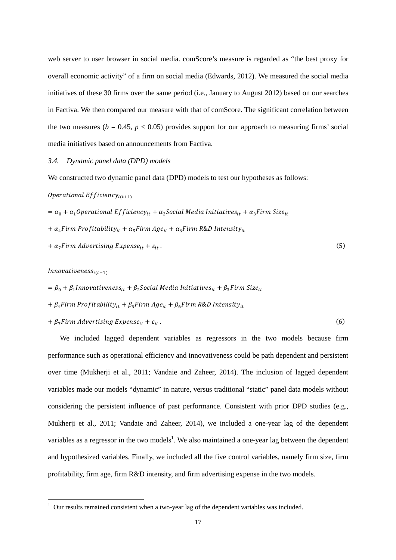web server to user browser in social media. comScore's measure is regarded as "the best proxy for overall economic activity" of a firm on social media (Edwards, 2012). We measured the social media initiatives of these 30 firms over the same period (i.e., January to August 2012) based on our searches in Factiva. We then compared our measure with that of comScore. The significant correlation between the two measures ( $b = 0.45$ ,  $p < 0.05$ ) provides support for our approach to measuring firms' social media initiatives based on announcements from Factiva.

### *3.4. Dynamic panel data (DPD) models*

We constructed two dynamic panel data (DPD) models to test our hypotheses as follows:

Operational Efficienc $y_{i(t+1)}$ 

- $=\alpha_0+\alpha_1$ Operational Efficienc $y_{it}+\alpha_2$ Social Media Initiatives $_{it}+\alpha_3$ Firm Size $_{it}$
- +  $\alpha_4$ Firm Profitability $_{it}$  +  $\alpha_5$ Firm Ag $e_{it}$  +  $\alpha_6$ Firm R&D Intensity $_{it}$
- $+ \alpha_7$ Firm Advertising Expense<sub>it</sub> +  $\varepsilon_{it}$ . (5)

### $In now a tiveness_{i(t+1)}$

֬֒

- $=\beta_0+\beta_1$ Innovativeness $_{it}+\beta_2$ Social Media Initiatives $_{it}+\beta_3$ Firm Size $_{it}$
- +  $\beta_4$ Firm Profitability $_{it}$  +  $\beta_5$ Firm Ag $e_{it}$  +  $\beta_6$ Firm R&D Intensity $_{it}$
- $+\beta_7$ Firm Advertising Expense<sub>it</sub> +  $\varepsilon_{it}$ . (6)

We included lagged dependent variables as regressors in the two models because firm performance such as operational efficiency and innovativeness could be path dependent and persistent over time (Mukherji et al., 2011; Vandaie and Zaheer, 2014). The inclusion of lagged dependent variables made our models "dynamic" in nature, versus traditional "static" panel data models without considering the persistent influence of past performance. Consistent with prior DPD studies (e.g., Mukherji et al., 2011; Vandaie and Zaheer, 2014), we included a one-year lag of the dependent variables as a regressor in the two models<sup>1</sup>. We also maintained a one-year lag between the dependent and hypothesized variables. Finally, we included all the five control variables, namely firm size, firm profitability, firm age, firm R&D intensity, and firm advertising expense in the two models.

 $1$  Our results remained consistent when a two-year lag of the dependent variables was included.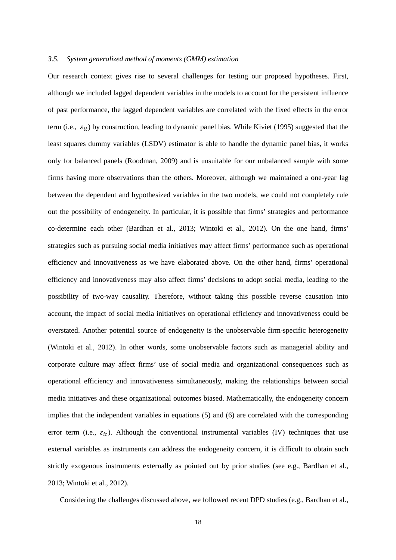#### *3.5. System generalized method of moments (GMM) estimation*

Our research context gives rise to several challenges for testing our proposed hypotheses. First, although we included lagged dependent variables in the models to account for the persistent influence of past performance, the lagged dependent variables are correlated with the fixed effects in the error term (i.e.,  $\varepsilon_{it}$ ) by construction, leading to dynamic panel bias. While Kiviet (1995) suggested that the least squares dummy variables (LSDV) estimator is able to handle the dynamic panel bias, it works only for balanced panels (Roodman, 2009) and is unsuitable for our unbalanced sample with some firms having more observations than the others. Moreover, although we maintained a one-year lag between the dependent and hypothesized variables in the two models, we could not completely rule out the possibility of endogeneity. In particular, it is possible that firms' strategies and performance co-determine each other (Bardhan et al., 2013; Wintoki et al., 2012). On the one hand, firms' strategies such as pursuing social media initiatives may affect firms' performance such as operational efficiency and innovativeness as we have elaborated above. On the other hand, firms' operational efficiency and innovativeness may also affect firms' decisions to adopt social media, leading to the possibility of two-way causality. Therefore, without taking this possible reverse causation into account, the impact of social media initiatives on operational efficiency and innovativeness could be overstated. Another potential source of endogeneity is the unobservable firm-specific heterogeneity (Wintoki et al., 2012). In other words, some unobservable factors such as managerial ability and corporate culture may affect firms' use of social media and organizational consequences such as operational efficiency and innovativeness simultaneously, making the relationships between social media initiatives and these organizational outcomes biased. Mathematically, the endogeneity concern implies that the independent variables in equations (5) and (6) are correlated with the corresponding error term (i.e.,  $\varepsilon_{it}$ ). Although the conventional instrumental variables (IV) techniques that use external variables as instruments can address the endogeneity concern, it is difficult to obtain such strictly exogenous instruments externally as pointed out by prior studies (see e.g., Bardhan et al., 2013; Wintoki et al., 2012).

Considering the challenges discussed above, we followed recent DPD studies (e.g., Bardhan et al.,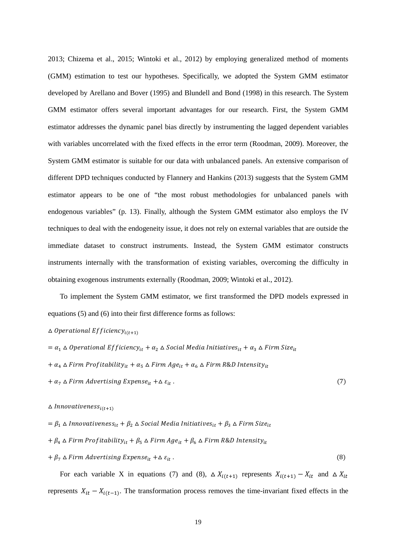2013; Chizema et al., 2015; Wintoki et al., 2012) by employing generalized method of moments (GMM) estimation to test our hypotheses. Specifically, we adopted the System GMM estimator developed by Arellano and Bover (1995) and Blundell and Bond (1998) in this research. The System GMM estimator offers several important advantages for our research. First, the System GMM estimator addresses the dynamic panel bias directly by instrumenting the lagged dependent variables with variables uncorrelated with the fixed effects in the error term (Roodman, 2009). Moreover, the System GMM estimator is suitable for our data with unbalanced panels. An extensive comparison of different DPD techniques conducted by Flannery and Hankins (2013) suggests that the System GMM estimator appears to be one of "the most robust methodologies for unbalanced panels with endogenous variables" (p. 13). Finally, although the System GMM estimator also employs the IV techniques to deal with the endogeneity issue, it does not rely on external variables that are outside the immediate dataset to construct instruments. Instead, the System GMM estimator constructs instruments internally with the transformation of existing variables, overcoming the difficulty in obtaining exogenous instruments externally (Roodman, 2009; Wintoki et al., 2012).

To implement the System GMM estimator, we first transformed the DPD models expressed in equations (5) and (6) into their first difference forms as follows:

- $\Delta$  Operational Efficiency $i_{(t+1)}$
- $=\alpha_1\vartriangle$  Operational Efficiency $_{it}+\alpha_2\vartriangle$  Social Media Initiatives $_{it}+\alpha_3\vartriangle$  Firm Size $_{it}$
- $+$   $\alpha_4$   $\Delta$  Firm Profitability $_{it}$   $+$   $\alpha_5$   $\Delta$  Firm Age $_{it}$   $+$   $\alpha_6$   $\Delta$  Firm R&D Intensity $_{it}$
- $+\alpha_7 \Delta$  Firm Advertising Expense<sub>it</sub>  $+\Delta \varepsilon_{it}$ . (7)
- $\triangle$  Innovativeness<sub>i(t+1)</sub>
- $=\beta_1\vartriangle$  Innovativeness $_{it}+\beta_2\vartriangle$  Social Media Initiatives $_{it}+\beta_3\vartriangle$  Firm Size $_{it}$
- $+ \ \beta_4 \vartriangle$  Firm Profitabilit $y_{it} + \beta_5 \vartriangle$  Firm Ag $e_{it} + \beta_6 \vartriangle$  Firm R&D Intensit $y_{it}$
- $+\beta_7 \Delta \text{ Firm} \text{Advertising} \text{Expense}_{it} + \Delta \varepsilon_{it}.$ (8)

For each variable X in equations (7) and (8),  $\Delta X_{i(t+1)}$  represents  $X_{i(t+1)} - X_{it}$  and  $\Delta X_{it}$ represents  $X_{it} - X_{i(t-1)}$ . The transformation process removes the time-invariant fixed effects in the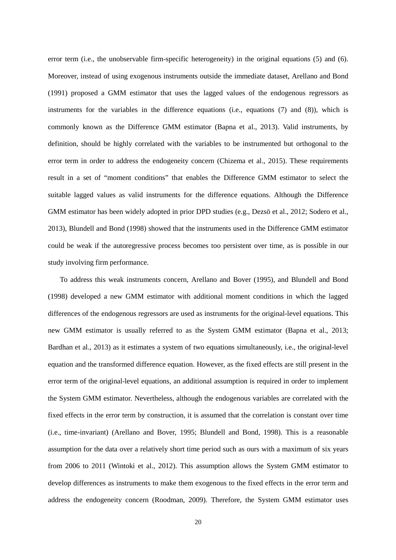error term (i.e., the unobservable firm-specific heterogeneity) in the original equations (5) and (6). Moreover, instead of using exogenous instruments outside the immediate dataset, Arellano and Bond (1991) proposed a GMM estimator that uses the lagged values of the endogenous regressors as instruments for the variables in the difference equations (i.e., equations (7) and (8)), which is commonly known as the Difference GMM estimator (Bapna et al., 2013). Valid instruments, by definition, should be highly correlated with the variables to be instrumented but orthogonal to the error term in order to address the endogeneity concern (Chizema et al., 2015). These requirements result in a set of "moment conditions" that enables the Difference GMM estimator to select the suitable lagged values as valid instruments for the difference equations. Although the Difference GMM estimator has been widely adopted in prior DPD studies (e.g., Dezsö et al., 2012; Sodero et al., 2013), Blundell and Bond (1998) showed that the instruments used in the Difference GMM estimator could be weak if the autoregressive process becomes too persistent over time, as is possible in our study involving firm performance.

To address this weak instruments concern, Arellano and Bover (1995), and Blundell and Bond (1998) developed a new GMM estimator with additional moment conditions in which the lagged differences of the endogenous regressors are used as instruments for the original-level equations. This new GMM estimator is usually referred to as the System GMM estimator (Bapna et al., 2013; Bardhan et al., 2013) as it estimates a system of two equations simultaneously, i.e., the original-level equation and the transformed difference equation. However, as the fixed effects are still present in the error term of the original-level equations, an additional assumption is required in order to implement the System GMM estimator. Nevertheless, although the endogenous variables are correlated with the fixed effects in the error term by construction, it is assumed that the correlation is constant over time (i.e., time-invariant) (Arellano and Bover, 1995; Blundell and Bond, 1998). This is a reasonable assumption for the data over a relatively short time period such as ours with a maximum of six years from 2006 to 2011 (Wintoki et al., 2012). This assumption allows the System GMM estimator to develop differences as instruments to make them exogenous to the fixed effects in the error term and address the endogeneity concern (Roodman, 2009). Therefore, the System GMM estimator uses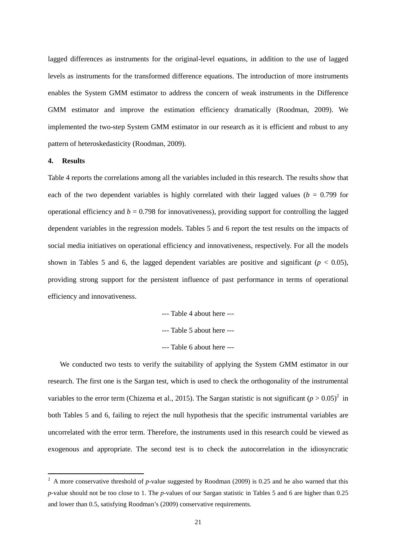lagged differences as instruments for the original-level equations, in addition to the use of lagged levels as instruments for the transformed difference equations. The introduction of more instruments enables the System GMM estimator to address the concern of weak instruments in the Difference GMM estimator and improve the estimation efficiency dramatically (Roodman, 2009). We implemented the two-step System GMM estimator in our research as it is efficient and robust to any pattern of heteroskedasticity (Roodman, 2009).

#### **4. Results**

֬֒

Table 4 reports the correlations among all the variables included in this research. The results show that each of the two dependent variables is highly correlated with their lagged values ( $b = 0.799$  for operational efficiency and  $b = 0.798$  for innovativeness), providing support for controlling the lagged dependent variables in the regression models. Tables 5 and 6 report the test results on the impacts of social media initiatives on operational efficiency and innovativeness, respectively. For all the models shown in Tables 5 and 6, the lagged dependent variables are positive and significant ( $p < 0.05$ ), providing strong support for the persistent influence of past performance in terms of operational efficiency and innovativeness.

> --- Table 4 about here --- --- Table 5 about here --- --- Table 6 about here ---

We conducted two tests to verify the suitability of applying the System GMM estimator in our research. The first one is the Sargan test, which is used to check the orthogonality of the instrumental variables to the error term (Chizema et al., 2015). The Sargan statistic is not significant  $(p > 0.05)^2$  in both Tables 5 and 6, failing to reject the null hypothesis that the specific instrumental variables are uncorrelated with the error term. Therefore, the instruments used in this research could be viewed as exogenous and appropriate. The second test is to check the autocorrelation in the idiosyncratic

 $2^2$  A more conservative threshold of *p*-value suggested by Roodman (2009) is 0.25 and he also warned that this *p*-value should not be too close to 1. The *p*-values of our Sargan statistic in Tables 5 and 6 are higher than 0.25 and lower than 0.5, satisfying Roodman's (2009) conservative requirements.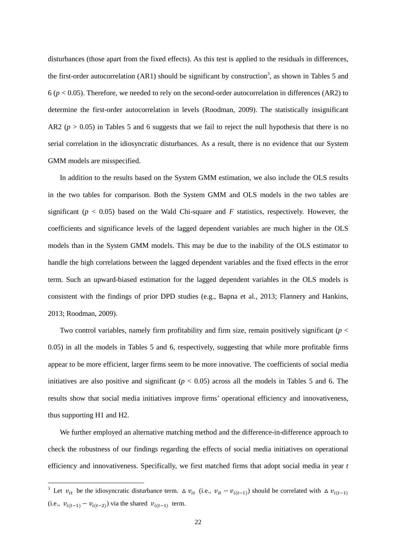disturbances (those apart from the fixed effects). As this test is applied to the residuals in differences, the first-order autocorrelation (AR1) should be significant by construction<sup>3</sup>, as shown in Tables 5 and  $6 (p < 0.05)$ . Therefore, we needed to rely on the second-order autocorrelation in differences (AR2) to determine the first-order autocorrelation in levels (Roodman, 2009). The statistically insignificant AR2 ( $p > 0.05$ ) in Tables 5 and 6 suggests that we fail to reject the null hypothesis that there is no serial correlation in the idiosyncratic disturbances. As a result, there is no evidence that our System GMM models are misspecified.

In addition to the results based on the System GMM estimation, we also include the OLS results in the two tables for comparison. Both the System GMM and OLS models in the two tables are significant ( $p < 0.05$ ) based on the Wald Chi-square and *F* statistics, respectively. However, the coefficients and significance levels of the lagged dependent variables are much higher in the OLS models than in the System GMM models. This may be due to the inability of the OLS estimator to handle the high correlations between the lagged dependent variables and the fixed effects in the error term. Such an upward-biased estimation for the lagged dependent variables in the OLS models is consistent with the findings of prior DPD studies (e.g., Bapna et al., 2013; Flannery and Hankins, 2013; Roodman, 2009).

Two control variables, namely firm profitability and firm size, remain positively significant (*p* < 0.05) in all the models in Tables 5 and 6, respectively, suggesting that while more profitable firms appear to be more efficient, larger firms seem to be more innovative. The coefficients of social media initiatives are also positive and significant  $(p < 0.05)$  across all the models in Tables 5 and 6. The results show that social media initiatives improve firms' operational efficiency and innovativeness, thus supporting H1 and H2.

We further employed an alternative matching method and the difference-in-difference approach to check the robustness of our findings regarding the effects of social media initiatives on operational efficiency and innovativeness. Specifically, we first matched firms that adopt social media in year *t*

<sup>&</sup>lt;sup>3</sup> Let  $v_{it}$  be the idiosyncratic disturbance term.  $\Delta v_{it}$  (i.e.,  $v_{it} - v_{i(t-1)}$ ) should be correlated with  $\Delta v_{i(t-1)}$ (i.e.,  $v_{i(t-1)} - v_{i(t-2)}$ ) via the shared  $v_{i(t-1)}$  term.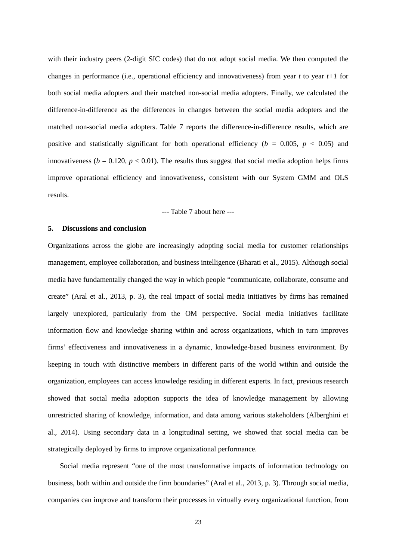with their industry peers (2-digit SIC codes) that do not adopt social media. We then computed the changes in performance (i.e., operational efficiency and innovativeness) from year *t* to year *t+1* for both social media adopters and their matched non-social media adopters. Finally, we calculated the difference-in-difference as the differences in changes between the social media adopters and the matched non-social media adopters. Table 7 reports the difference-in-difference results, which are positive and statistically significant for both operational efficiency ( $b = 0.005$ ,  $p < 0.05$ ) and innovativeness ( $b = 0.120$ ,  $p < 0.01$ ). The results thus suggest that social media adoption helps firms improve operational efficiency and innovativeness, consistent with our System GMM and OLS results.

### --- Table 7 about here ---

#### **5. Discussions and conclusion**

Organizations across the globe are increasingly adopting social media for customer relationships management, employee collaboration, and business intelligence (Bharati et al., 2015). Although social media have fundamentally changed the way in which people "communicate, collaborate, consume and create" (Aral et al., 2013, p. 3), the real impact of social media initiatives by firms has remained largely unexplored, particularly from the OM perspective. Social media initiatives facilitate information flow and knowledge sharing within and across organizations, which in turn improves firms' effectiveness and innovativeness in a dynamic, knowledge-based business environment. By keeping in touch with distinctive members in different parts of the world within and outside the organization, employees can access knowledge residing in different experts. In fact, previous research showed that social media adoption supports the idea of knowledge management by allowing unrestricted sharing of knowledge, information, and data among various stakeholders (Alberghini et al., 2014). Using secondary data in a longitudinal setting, we showed that social media can be strategically deployed by firms to improve organizational performance.

Social media represent "one of the most transformative impacts of information technology on business, both within and outside the firm boundaries" (Aral et al., 2013, p. 3). Through social media, companies can improve and transform their processes in virtually every organizational function, from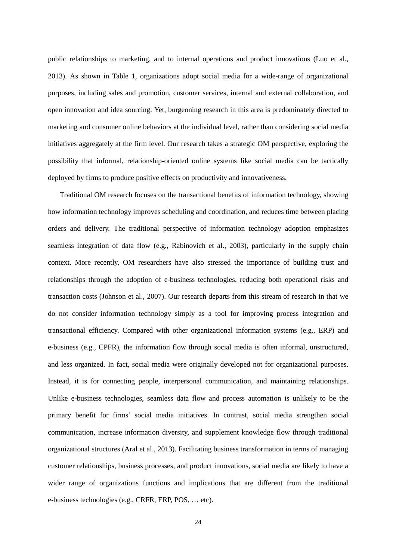public relationships to marketing, and to internal operations and product innovations (Luo et al., 2013). As shown in Table 1, organizations adopt social media for a wide-range of organizational purposes, including sales and promotion, customer services, internal and external collaboration, and open innovation and idea sourcing. Yet, burgeoning research in this area is predominately directed to marketing and consumer online behaviors at the individual level, rather than considering social media initiatives aggregately at the firm level. Our research takes a strategic OM perspective, exploring the possibility that informal, relationship-oriented online systems like social media can be tactically deployed by firms to produce positive effects on productivity and innovativeness.

Traditional OM research focuses on the transactional benefits of information technology, showing how information technology improves scheduling and coordination, and reduces time between placing orders and delivery. The traditional perspective of information technology adoption emphasizes seamless integration of data flow (e.g., Rabinovich et al., 2003), particularly in the supply chain context. More recently, OM researchers have also stressed the importance of building trust and relationships through the adoption of e-business technologies, reducing both operational risks and transaction costs (Johnson et al., 2007). Our research departs from this stream of research in that we do not consider information technology simply as a tool for improving process integration and transactional efficiency. Compared with other organizational information systems (e.g., ERP) and e-business (e.g., CPFR), the information flow through social media is often informal, unstructured, and less organized. In fact, social media were originally developed not for organizational purposes. Instead, it is for connecting people, interpersonal communication, and maintaining relationships. Unlike e-business technologies, seamless data flow and process automation is unlikely to be the primary benefit for firms' social media initiatives. In contrast, social media strengthen social communication, increase information diversity, and supplement knowledge flow through traditional organizational structures (Aral et al., 2013). Facilitating business transformation in terms of managing customer relationships, business processes, and product innovations, social media are likely to have a wider range of organizations functions and implications that are different from the traditional e-business technologies (e.g., CRFR, ERP, POS, … etc).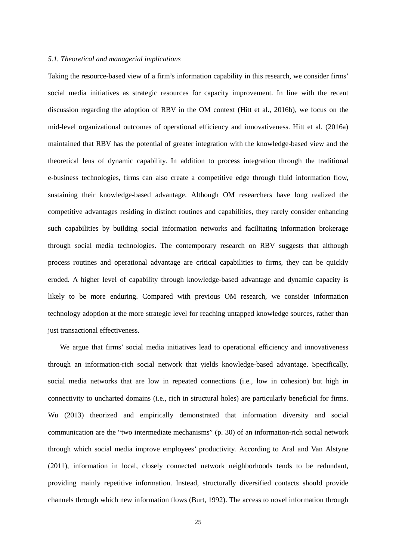#### *5.1. Theoretical and managerial implications*

Taking the resource-based view of a firm's information capability in this research, we consider firms' social media initiatives as strategic resources for capacity improvement. In line with the recent discussion regarding the adoption of RBV in the OM context (Hitt et al., 2016b), we focus on the mid-level organizational outcomes of operational efficiency and innovativeness. Hitt et al. (2016a) maintained that RBV has the potential of greater integration with the knowledge-based view and the theoretical lens of dynamic capability. In addition to process integration through the traditional e-business technologies, firms can also create a competitive edge through fluid information flow, sustaining their knowledge-based advantage. Although OM researchers have long realized the competitive advantages residing in distinct routines and capabilities, they rarely consider enhancing such capabilities by building social information networks and facilitating information brokerage through social media technologies. The contemporary research on RBV suggests that although process routines and operational advantage are critical capabilities to firms, they can be quickly eroded. A higher level of capability through knowledge-based advantage and dynamic capacity is likely to be more enduring. Compared with previous OM research, we consider information technology adoption at the more strategic level for reaching untapped knowledge sources, rather than just transactional effectiveness.

We argue that firms' social media initiatives lead to operational efficiency and innovativeness through an information-rich social network that yields knowledge-based advantage. Specifically, social media networks that are low in repeated connections (i.e., low in cohesion) but high in connectivity to uncharted domains (i.e., rich in structural holes) are particularly beneficial for firms. Wu (2013) theorized and empirically demonstrated that information diversity and social communication are the "two intermediate mechanisms" (p. 30) of an information-rich social network through which social media improve employees' productivity. According to Aral and Van Alstyne (2011), information in local, closely connected network neighborhoods tends to be redundant, providing mainly repetitive information. Instead, structurally diversified contacts should provide channels through which new information flows (Burt, 1992). The access to novel information through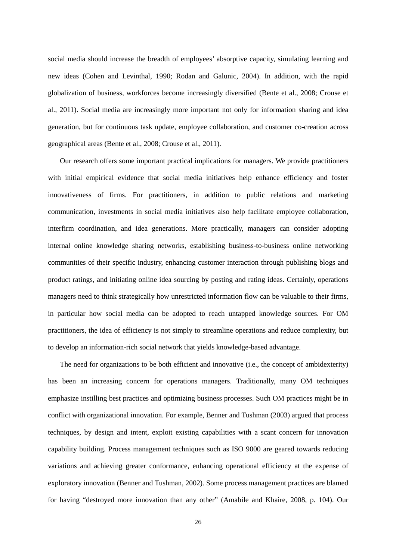social media should increase the breadth of employees' absorptive capacity, simulating learning and new ideas (Cohen and Levinthal, 1990; Rodan and Galunic, 2004). In addition, with the rapid globalization of business, workforces become increasingly diversified (Bente et al., 2008; Crouse et al., 2011). Social media are increasingly more important not only for information sharing and idea generation, but for continuous task update, employee collaboration, and customer co-creation across geographical areas (Bente et al., 2008; Crouse et al., 2011).

Our research offers some important practical implications for managers. We provide practitioners with initial empirical evidence that social media initiatives help enhance efficiency and foster innovativeness of firms. For practitioners, in addition to public relations and marketing communication, investments in social media initiatives also help facilitate employee collaboration, interfirm coordination, and idea generations. More practically, managers can consider adopting internal online knowledge sharing networks, establishing business-to-business online networking communities of their specific industry, enhancing customer interaction through publishing blogs and product ratings, and initiating online idea sourcing by posting and rating ideas. Certainly, operations managers need to think strategically how unrestricted information flow can be valuable to their firms, in particular how social media can be adopted to reach untapped knowledge sources. For OM practitioners, the idea of efficiency is not simply to streamline operations and reduce complexity, but to develop an information-rich social network that yields knowledge-based advantage.

The need for organizations to be both efficient and innovative (i.e., the concept of ambidexterity) has been an increasing concern for operations managers. Traditionally, many OM techniques emphasize instilling best practices and optimizing business processes. Such OM practices might be in conflict with organizational innovation. For example, Benner and Tushman (2003) argued that process techniques, by design and intent, exploit existing capabilities with a scant concern for innovation capability building. Process management techniques such as ISO 9000 are geared towards reducing variations and achieving greater conformance, enhancing operational efficiency at the expense of exploratory innovation (Benner and Tushman, 2002). Some process management practices are blamed for having "destroyed more innovation than any other" (Amabile and Khaire, 2008, p. 104). Our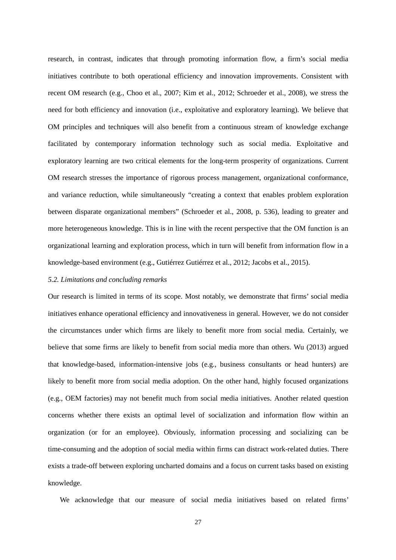research, in contrast, indicates that through promoting information flow, a firm's social media initiatives contribute to both operational efficiency and innovation improvements. Consistent with recent OM research (e.g., Choo et al., 2007; Kim et al., 2012; Schroeder et al., 2008), we stress the need for both efficiency and innovation (i.e., exploitative and exploratory learning). We believe that OM principles and techniques will also benefit from a continuous stream of knowledge exchange facilitated by contemporary information technology such as social media. Exploitative and exploratory learning are two critical elements for the long-term prosperity of organizations. Current OM research stresses the importance of rigorous process management, organizational conformance, and variance reduction, while simultaneously "creating a context that enables problem exploration between disparate organizational members" (Schroeder et al., 2008, p. 536), leading to greater and more heterogeneous knowledge. This is in line with the recent perspective that the OM function is an organizational learning and exploration process, which in turn will benefit from information flow in a knowledge-based environment (e.g., Gutiérrez Gutiérrez et al., 2012; Jacobs et al., 2015).

### *5.2. Limitations and concluding remarks*

Our research is limited in terms of its scope. Most notably, we demonstrate that firms' social media initiatives enhance operational efficiency and innovativeness in general. However, we do not consider the circumstances under which firms are likely to benefit more from social media. Certainly, we believe that some firms are likely to benefit from social media more than others. Wu (2013) argued that knowledge-based, information-intensive jobs (e.g., business consultants or head hunters) are likely to benefit more from social media adoption. On the other hand, highly focused organizations (e.g., OEM factories) may not benefit much from social media initiatives. Another related question concerns whether there exists an optimal level of socialization and information flow within an organization (or for an employee). Obviously, information processing and socializing can be time-consuming and the adoption of social media within firms can distract work-related duties. There exists a trade-off between exploring uncharted domains and a focus on current tasks based on existing knowledge.

We acknowledge that our measure of social media initiatives based on related firms'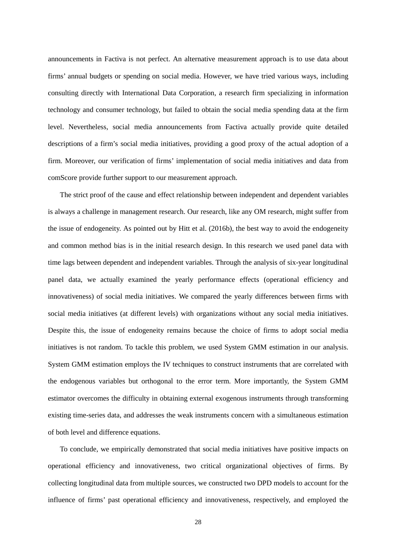announcements in Factiva is not perfect. An alternative measurement approach is to use data about firms' annual budgets or spending on social media. However, we have tried various ways, including consulting directly with International Data Corporation, a research firm specializing in information technology and consumer technology, but failed to obtain the social media spending data at the firm level. Nevertheless, social media announcements from Factiva actually provide quite detailed descriptions of a firm's social media initiatives, providing a good proxy of the actual adoption of a firm. Moreover, our verification of firms' implementation of social media initiatives and data from comScore provide further support to our measurement approach.

The strict proof of the cause and effect relationship between independent and dependent variables is always a challenge in management research. Our research, like any OM research, might suffer from the issue of endogeneity. As pointed out by Hitt et al. (2016b), the best way to avoid the endogeneity and common method bias is in the initial research design. In this research we used panel data with time lags between dependent and independent variables. Through the analysis of six-year longitudinal panel data, we actually examined the yearly performance effects (operational efficiency and innovativeness) of social media initiatives. We compared the yearly differences between firms with social media initiatives (at different levels) with organizations without any social media initiatives. Despite this, the issue of endogeneity remains because the choice of firms to adopt social media initiatives is not random. To tackle this problem, we used System GMM estimation in our analysis. System GMM estimation employs the IV techniques to construct instruments that are correlated with the endogenous variables but orthogonal to the error term. More importantly, the System GMM estimator overcomes the difficulty in obtaining external exogenous instruments through transforming existing time-series data, and addresses the weak instruments concern with a simultaneous estimation of both level and difference equations.

To conclude, we empirically demonstrated that social media initiatives have positive impacts on operational efficiency and innovativeness, two critical organizational objectives of firms. By collecting longitudinal data from multiple sources, we constructed two DPD models to account for the influence of firms' past operational efficiency and innovativeness, respectively, and employed the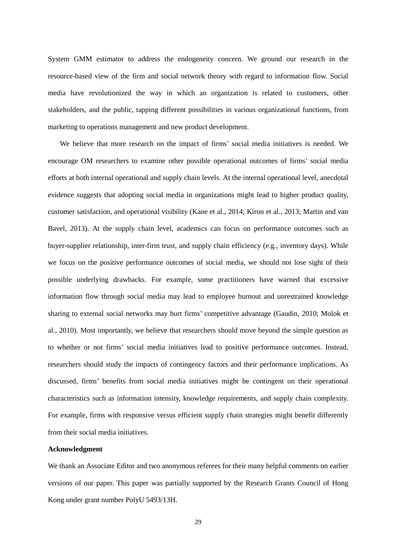System GMM estimator to address the endogeneity concern. We ground our research in the resource-based view of the firm and social network theory with regard to information flow. Social media have revolutionized the way in which an organization is related to customers, other stakeholders, and the public, tapping different possibilities in various organizational functions, from marketing to operations management and new product development.

We believe that more research on the impact of firms' social media initiatives is needed. We encourage OM researchers to examine other possible operational outcomes of firms' social media efforts at both internal operational and supply chain levels. At the internal operational level, anecdotal evidence suggests that adopting social media in organizations might lead to higher product quality, customer satisfaction, and operational visibility (Kane et al., 2014; Kiron et al., 2013; Martin and van Bavel, 2013). At the supply chain level, academics can focus on performance outcomes such as buyer-supplier relationship, inter-firm trust, and supply chain efficiency (e.g., inventory days). While we focus on the positive performance outcomes of social media, we should not lose sight of their possible underlying drawbacks. For example, some practitioners have warned that excessive information flow through social media may lead to employee burnout and unrestrained knowledge sharing to external social networks may hurt firms' competitive advantage (Gaudin, 2010; Molok et al., 2010). Most importantly, we believe that researchers should move beyond the simple question as to whether or not firms' social media initiatives lead to positive performance outcomes. Instead, researchers should study the impacts of contingency factors and their performance implications. As discussed, firms' benefits from social media initiatives might be contingent on their operational characteristics such as information intensity, knowledge requirements, and supply chain complexity. For example, firms with responsive versus efficient supply chain strategies might benefit differently from their social media initiatives.

### **Acknowledgment**

We thank an Associate Editor and two anonymous referees for their many helpful comments on earlier versions of our paper. This paper was partially supported by the Research Grants Council of Hong Kong under grant number PolyU 5493/13H.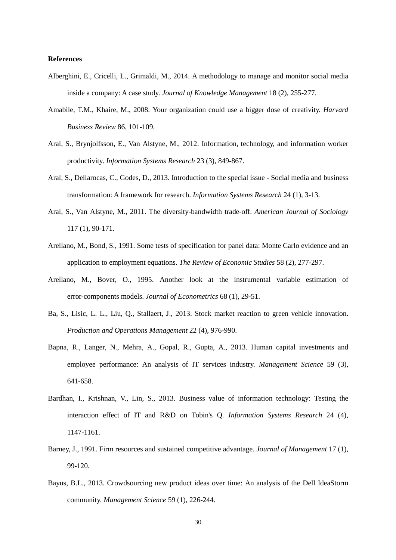### **References**

- Alberghini, E., Cricelli, L., Grimaldi, M., 2014. A methodology to manage and monitor social media inside a company: A case study. *Journal of Knowledge Management* 18 (2), 255-277.
- Amabile, T.M., Khaire, M., 2008. Your organization could use a bigger dose of creativity. *Harvard Business Review* 86, 101-109.
- Aral, S., Brynjolfsson, E., Van Alstyne, M., 2012. Information, technology, and information worker productivity. *Information Systems Research* 23 (3), 849-867.
- Aral, S., Dellarocas, C., Godes, D., 2013. Introduction to the special issue Social media and business transformation: A framework for research. *Information Systems Research* 24 (1), 3-13.
- Aral, S., Van Alstyne, M., 2011. The diversity-bandwidth trade-off. *American Journal of Sociology* 117 (1), 90-171.
- Arellano, M., Bond, S., 1991. Some tests of specification for panel data: Monte Carlo evidence and an application to employment equations. *The Review of Economic Studies* 58 (2), 277-297.
- Arellano, M., Bover, O., 1995. Another look at the instrumental variable estimation of error-components models. *Journal of Econometrics* 68 (1), 29-51.
- Ba, S., Lisic, L. L., Liu, Q., Stallaert, J., 2013. Stock market reaction to green vehicle innovation. *Production and Operations Management* 22 (4), 976-990.
- Bapna, R., Langer, N., Mehra, A., Gopal, R., Gupta, A., 2013. Human capital investments and employee performance: An analysis of IT services industry. *Management Science* 59 (3), 641-658.
- Bardhan, I., Krishnan, V., Lin, S., 2013. Business value of information technology: Testing the interaction effect of IT and R&D on Tobin's Q. *Information Systems Research* 24 (4), 1147-1161.
- Barney, J., 1991. Firm resources and sustained competitive advantage. *Journal of Management* 17 (1), 99-120.
- Bayus, B.L., 2013. Crowdsourcing new product ideas over time: An analysis of the Dell IdeaStorm community. *Management Science* 59 (1), 226-244.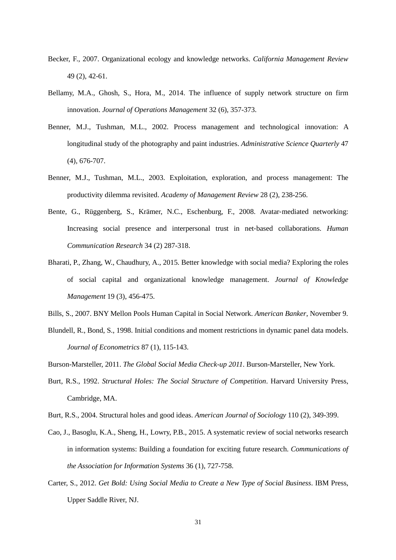- Becker, F., 2007. Organizational ecology and knowledge networks. *California Management Review* 49 (2), 42-61.
- Bellamy, M.A., Ghosh, S., Hora, M., 2014. The influence of supply network structure on firm innovation. *Journal of Operations Management* 32 (6), 357-373.
- Benner, M.J., Tushman, M.L., 2002. Process management and technological innovation: A longitudinal study of the photography and paint industries. *Administrative Science Quarterly* 47 (4), 676-707.
- Benner, M.J., Tushman, M.L., 2003. Exploitation, exploration, and process management: The productivity dilemma revisited. *Academy of Management Review* 28 (2), 238-256.
- Bente, G., Rüggenberg, S., Krämer, N.C., Eschenburg, F., 2008. Avatar-mediated networking: Increasing social presence and interpersonal trust in net-based collaborations. *Human Communication Research* 34 (2) 287-318.
- Bharati, P., Zhang, W., Chaudhury, A., 2015. Better knowledge with social media? Exploring the roles of social capital and organizational knowledge management. *Journal of Knowledge Management* 19 (3), 456-475.
- Bills, S., 2007. BNY Mellon Pools Human Capital in Social Network. *American Banker*, November 9.
- Blundell, R., Bond, S., 1998. Initial conditions and moment restrictions in dynamic panel data models. *Journal of Econometrics* 87 (1), 115-143.
- Burson-Marsteller, 2011. *The Global Social Media Check-up 2011*. Burson-Marsteller, New York.
- Burt, R.S., 1992. *Structural Holes: The Social Structure of Competition*. Harvard University Press, Cambridge, MA.
- Burt, R.S., 2004. Structural holes and good ideas. *American Journal of Sociology* 110 (2), 349-399.
- Cao, J., Basoglu, K.A., Sheng, H., Lowry, P.B., 2015. A systematic review of social networks research in information systems: Building a foundation for exciting future research. *Communications of the Association for Information Systems* 36 (1), 727-758.
- Carter, S., 2012. *Get Bold: Using Social Media to Create a New Type of Social Business*. IBM Press, Upper Saddle River, NJ.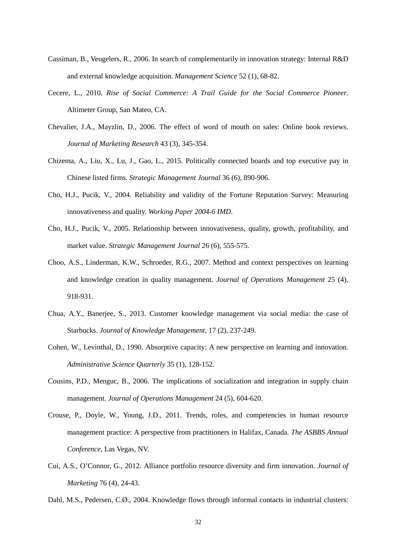- Cassiman, B., Veugelers, R., 2006. In search of complementarily in innovation strategy: Internal R&D and external knowledge acquisition. *Management Science* 52 (1), 68-82.
- Cecere, L., 2010. *Rise of Social Commerce: A Trail Guide for the Social Commerce Pioneer*. Altimeter Group, San Mateo, CA.
- Chevalier, J.A., Mayzlin, D., 2006. The effect of word of mouth on sales: Online book reviews. *Journal of Marketing Research* 43 (3), 345-354.
- Chizema, A., Liu, X., Lu, J., Gao, L., 2015. Politically connected boards and top executive pay in Chinese listed firms. *Strategic Management Journal* 36 (6), 890-906.
- Cho, H.J., Pucik, V., 2004. Reliability and validity of the Fortune Reputation Survey: Measuring innovativeness and quality. *Working Paper 2004-6 IMD*.
- Cho, H.J., Pucik, V., 2005. Relationship between innovativeness, quality, growth, profitability, and market value. *Strategic Management Journal* 26 (6), 555-575.
- Choo, A.S., Linderman, K.W., Schroeder, R.G., 2007. Method and context perspectives on learning and knowledge creation in quality management. *Journal of Operations Management* 25 (4), 918-931.
- Chua, A.Y., Banerjee, S., 2013. Customer knowledge management via social media: the case of Starbucks. *Journal of Knowledge Management*, 17 (2), 237-249.
- Cohen, W., Levinthal, D., 1990. Absorptive capacity: A new perspective on learning and innovation. *Administrative Science Quarterly* 35 (1), 128-152.
- Cousins, P.D., Menguc, B., 2006. The implications of socialization and integration in supply chain management. *Journal of Operations Management* 24 (5), 604-620.
- Crouse, P., Doyle, W., Young, J.D., 2011. Trends, roles, and competencies in human resource management practice: A perspective from practitioners in Halifax, Canada. *The ASBBS Annual Conference*, Las Vegas, NV.
- Cui, A.S., O'Connor, G., 2012. Alliance portfolio resource diversity and firm innovation. *Journal of Marketing* 76 (4), 24-43.
- Dahl, M.S., Pedersen, C.Ø., 2004. Knowledge flows through informal contacts in industrial clusters: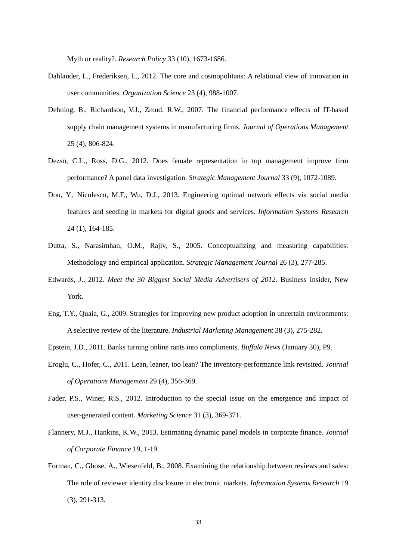Myth or reality?. *Research Policy* 33 (10), 1673-1686.

- Dahlander, L., Frederiksen, L., 2012. The core and cosmopolitans: A relational view of innovation in user communities. *Organization Science* 23 (4), 988-1007.
- Dehning, B., Richardson, V.J., Zmud, R.W., 2007. The financial performance effects of IT-based supply chain management systems in manufacturing firms. *Journal of Operations Management* 25 (4), 806-824.
- Dezsö, C.L., Ross, D.G., 2012. Does female representation in top management improve firm performance? A panel data investigation. *Strategic Management Journal* 33 (9), 1072-1089.
- Dou, Y., Niculescu, M.F., Wu, D.J., 2013. Engineering optimal network effects via social media features and seeding in markets for digital goods and services. *Information Systems Research* 24 (1), 164-185.
- Dutta, S., Narasimhan, O.M., Rajiv, S., 2005. Conceptualizing and measuring capabilities: Methodology and empirical application. *Strategic Management Journal* 26 (3), 277-285.
- Edwards, J., 2012. *Meet the 30 Biggest Social Media Advertisers of 2012*. Business Insider, New York.
- Eng, T.Y., Quaia, G., 2009. Strategies for improving new product adoption in uncertain environments: A selective review of the literature. *Industrial Marketing Management* 38 (3), 275-282.
- Epstein, J.D., 2011. Banks turning online rants into compliments. *Buffalo News* (January 30), P9.
- Eroglu, C., Hofer, C., 2011. Lean, leaner, too lean? The inventory-performance link revisited. *Journal of Operations Management* 29 (4), 356-369.
- Fader, P.S., Winer, R.S., 2012. Introduction to the special issue on the emergence and impact of user-generated content. *Marketing Science* 31 (3), 369-371.
- Flannery, M.J., Hankins, K.W., 2013. Estimating dynamic panel models in corporate finance. *Journal of Corporate Finance* 19, 1-19.
- Forman, C., Ghose, A., Wiesenfeld, B., 2008. Examining the relationship between reviews and sales: The role of reviewer identity disclosure in electronic markets. *Information Systems Research* 19 (3), 291-313.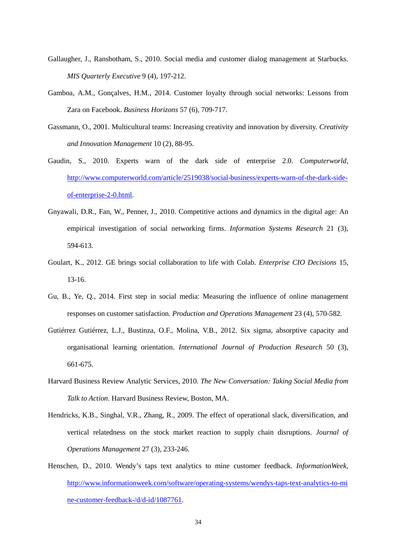- Gallaugher, J., Ransbotham, S., 2010. Social media and customer dialog management at Starbucks. *MIS Quarterly Executive* 9 (4), 197-212.
- Gamboa, A.M., Gonçalves, H.M., 2014. Customer loyalty through social networks: Lessons from Zara on Facebook. *Business Horizons* 57 (6), 709-717.
- Gassmann, O., 2001. Multicultural teams: Increasing creativity and innovation by diversity. *Creativity and Innovation Management* 10 (2), 88-95.
- Gaudin, S., 2010. Experts warn of the dark side of enterprise 2.0. *Computerworld*, http://www.computerworld.com/article/2519038/social-business/experts-warn-of-the-dark-sideof-enterprise-2-0.html.
- Gnyawali, D.R., Fan, W., Penner, J., 2010. Competitive actions and dynamics in the digital age: An empirical investigation of social networking firms. *Information Systems Research* 21 (3), 594-613.
- Goulart, K., 2012. GE brings social collaboration to life with Colab. *Enterprise CIO Decisions* 15, 13-16.
- Gu, B., Ye, Q., 2014. First step in social media: Measuring the influence of online management responses on customer satisfaction. *Production and Operations Management* 23 (4), 570-582.
- Gutiérrez Gutiérrez, L.J., Bustinza, O.F., Molina, V.B., 2012. Six sigma, absorptive capacity and organisational learning orientation. *International Journal of Production Research* 50 (3), 661-675.
- Harvard Business Review Analytic Services, 2010. *The New Conversation: Taking Social Media from Talk to Action*. Harvard Business Review, Boston, MA.
- Hendricks, K.B., Singhal, V.R., Zhang, R., 2009. The effect of operational slack, diversification, and vertical relatedness on the stock market reaction to supply chain disruptions. *Journal of Operations Management* 27 (3), 233-246.
- Henschen, D., 2010. Wendy's taps text analytics to mine customer feedback. *InformationWeek*, http://www.informationweek.com/software/operating-systems/wendys-taps-text-analytics-to-mi ne-customer-feedback-/d/d-id/1087761.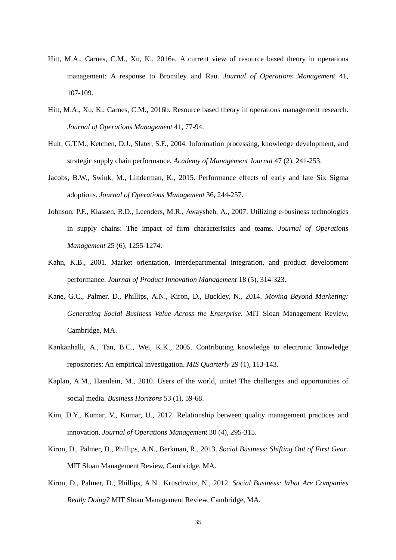- Hitt, M.A., Carnes, C.M., Xu, K., 2016a. A current view of resource based theory in operations management: A response to Bromiley and Rau. *Journal of Operations Management* 41, 107-109.
- Hitt, M.A., Xu, K., Carnes, C.M., 2016b. Resource based theory in operations management research. *Journal of Operations Management* 41, 77-94.
- Hult, G.T.M., Ketchen, D.J., Slater, S.F., 2004. Information processing, knowledge development, and strategic supply chain performance. *Academy of Management Journal* 47 (2), 241-253.
- Jacobs, B.W., Swink, M., Linderman, K., 2015. Performance effects of early and late Six Sigma adoptions. *Journal of Operations Management* 36, 244-257.
- Johnson, P.F., Klassen, R.D., Leenders, M.R., Awaysheh, A., 2007. Utilizing e-business technologies in supply chains: The impact of firm characteristics and teams. *Journal of Operations Management* 25 (6), 1255-1274.
- Kahn, K.B., 2001. Market orientation, interdepartmental integration, and product development performance. *Journal of Product Innovation Management* 18 (5), 314-323.
- Kane, G.C., Palmer, D., Phillips, A.N., Kiron, D., Buckley, N., 2014. *Moving Beyond Marketing: Generating Social Business Value Across the Enterprise*. MIT Sloan Management Review, Cambridge, MA.
- Kankanhalli, A., Tan, B.C., Wei, K.K., 2005. Contributing knowledge to electronic knowledge repositories: An empirical investigation. *MIS Quarterly* 29 (1), 113-143.
- Kaplan, A.M., Haenlein, M., 2010. Users of the world, unite! The challenges and opportunities of social media. *Business Horizons* 53 (1), 59-68.
- Kim, D.Y., Kumar, V., Kumar, U., 2012. Relationship between quality management practices and innovation. *Journal of Operations Management* 30 (4), 295-315.
- Kiron, D., Palmer, D., Phillips, A.N., Berkman, R., 2013. *Social Business: Shifting Out of First Gear*. MIT Sloan Management Review, Cambridge, MA.
- Kiron, D., Palmer, D., Phillips, A.N., Kruschwitz, N., 2012. *Social Business: What Are Companies Really Doing?* MIT Sloan Management Review, Cambridge, MA.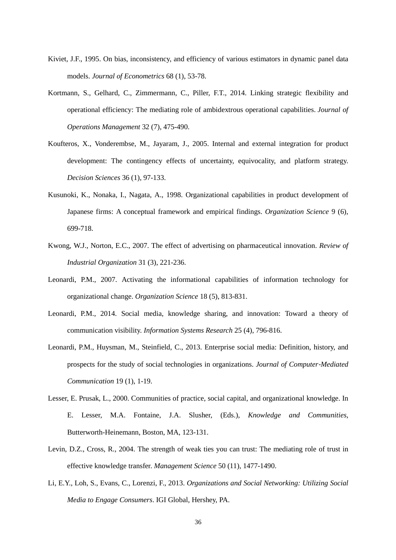- Kiviet, J.F., 1995. On bias, inconsistency, and efficiency of various estimators in dynamic panel data models. *Journal of Econometrics* 68 (1), 53-78.
- Kortmann, S., Gelhard, C., Zimmermann, C., Piller, F.T., 2014. Linking strategic flexibility and operational efficiency: The mediating role of ambidextrous operational capabilities. *Journal of Operations Management* 32 (7), 475-490.
- Koufteros, X., Vonderembse, M., Jayaram, J., 2005. Internal and external integration for product development: The contingency effects of uncertainty, equivocality, and platform strategy. *Decision Sciences* 36 (1), 97-133.
- Kusunoki, K., Nonaka, I., Nagata, A., 1998. Organizational capabilities in product development of Japanese firms: A conceptual framework and empirical findings. *Organization Science* 9 (6), 699-718.
- Kwong, W.J., Norton, E.C., 2007. The effect of advertising on pharmaceutical innovation. *Review of Industrial Organization* 31 (3), 221-236.
- Leonardi, P.M., 2007. Activating the informational capabilities of information technology for organizational change. *Organization Science* 18 (5), 813-831.
- Leonardi, P.M., 2014. Social media, knowledge sharing, and innovation: Toward a theory of communication visibility. *Information Systems Research* 25 (4), 796-816.
- Leonardi, P.M., Huysman, M., Steinfield, C., 2013. Enterprise social media: Definition, history, and prospects for the study of social technologies in organizations. *Journal of Computer*‐*Mediated Communication* 19 (1), 1-19.
- Lesser, E. Prusak, L., 2000. Communities of practice, social capital, and organizational knowledge. In E. Lesser, M.A. Fontaine, J.A. Slusher, (Eds.), *Knowledge and Communities*, Butterworth-Heinemann, Boston, MA, 123-131.
- Levin, D.Z., Cross, R., 2004. The strength of weak ties you can trust: The mediating role of trust in effective knowledge transfer. *Management Science* 50 (11), 1477-1490.
- Li, E.Y., Loh, S., Evans, C., Lorenzi, F., 2013. *Organizations and Social Networking: Utilizing Social Media to Engage Consumers*. IGI Global, Hershey, PA.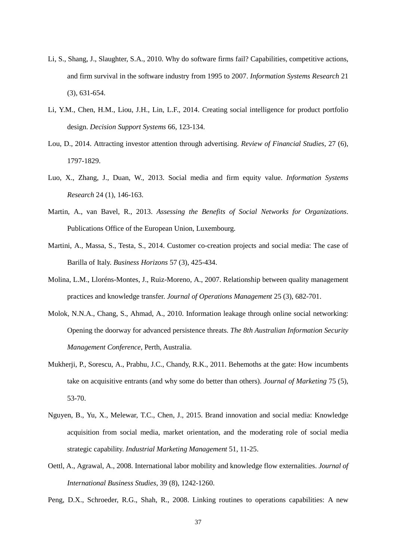- Li, S., Shang, J., Slaughter, S.A., 2010. Why do software firms fail? Capabilities, competitive actions, and firm survival in the software industry from 1995 to 2007. *Information Systems Research* 21 (3), 631-654.
- Li, Y.M., Chen, H.M., Liou, J.H., Lin, L.F., 2014. Creating social intelligence for product portfolio design. *Decision Support Systems* 66, 123-134.
- Lou, D., 2014. Attracting investor attention through advertising. *Review of Financial Studies*, 27 (6), 1797-1829.
- Luo, X., Zhang, J., Duan, W., 2013. Social media and firm equity value. *Information Systems Research* 24 (1), 146-163.
- Martin, A., van Bavel, R., 2013. *Assessing the Benefits of Social Networks for Organizations*. Publications Office of the European Union, Luxembourg.
- Martini, A., Massa, S., Testa, S., 2014. Customer co-creation projects and social media: The case of Barilla of Italy. *Business Horizons* 57 (3), 425-434.
- Molina, L.M., Lloréns-Montes, J., Ruiz-Moreno, A., 2007. Relationship between quality management practices and knowledge transfer. *Journal of Operations Management* 25 (3), 682-701.
- Molok, N.N.A., Chang, S., Ahmad, A., 2010. Information leakage through online social networking: Opening the doorway for advanced persistence threats. *The 8th Australian Information Security Management Conference*, Perth, Australia.
- Mukherji, P., Sorescu, A., Prabhu, J.C., Chandy, R.K., 2011. Behemoths at the gate: How incumbents take on acquisitive entrants (and why some do better than others). *Journal of Marketing* 75 (5), 53-70.
- Nguyen, B., Yu, X., Melewar, T.C., Chen, J., 2015. Brand innovation and social media: Knowledge acquisition from social media, market orientation, and the moderating role of social media strategic capability. *Industrial Marketing Management* 51, 11-25.
- Oettl, A., Agrawal, A., 2008. International labor mobility and knowledge flow externalities. *Journal of International Business Studies*, 39 (8), 1242-1260.

Peng, D.X., Schroeder, R.G., Shah, R., 2008. Linking routines to operations capabilities: A new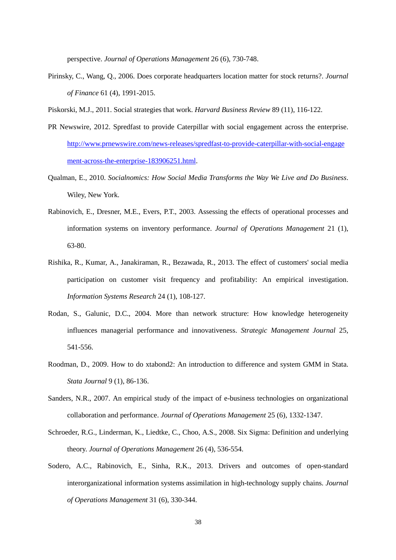perspective. *Journal of Operations Management* 26 (6), 730-748.

- Pirinsky, C., Wang, Q., 2006. Does corporate headquarters location matter for stock returns?. *Journal of Finance* 61 (4), 1991-2015.
- Piskorski, M.J., 2011. Social strategies that work. *Harvard Business Review* 89 (11), 116-122.
- PR Newswire, 2012. Spredfast to provide Caterpillar with social engagement across the enterprise. http://www.prnewswire.com/news-releases/spredfast-to-provide-caterpillar-with-social-engage ment-across-the-enterprise-183906251.html.
- Qualman, E., 2010. *Socialnomics: How Social Media Transforms the Way We Live and Do Business*. Wiley, New York.
- Rabinovich, E., Dresner, M.E., Evers, P.T., 2003. Assessing the effects of operational processes and information systems on inventory performance. *Journal of Operations Management* 21 (1), 63-80.
- Rishika, R., Kumar, A., Janakiraman, R., Bezawada, R., 2013. The effect of customers' social media participation on customer visit frequency and profitability: An empirical investigation. *Information Systems Research* 24 (1), 108-127.
- Rodan, S., Galunic, D.C., 2004. More than network structure: How knowledge heterogeneity influences managerial performance and innovativeness. *Strategic Management Journal* 25, 541-556.
- Roodman, D., 2009. How to do xtabond2: An introduction to difference and system GMM in Stata. *Stata Journal* 9 (1), 86-136.
- Sanders, N.R., 2007. An empirical study of the impact of e-business technologies on organizational collaboration and performance. *Journal of Operations Management* 25 (6), 1332-1347.
- Schroeder, R.G., Linderman, K., Liedtke, C., Choo, A.S., 2008. Six Sigma: Definition and underlying theory. *Journal of Operations Management* 26 (4), 536-554.
- Sodero, A.C., Rabinovich, E., Sinha, R.K., 2013. Drivers and outcomes of open-standard interorganizational information systems assimilation in high-technology supply chains. *Journal of Operations Management* 31 (6), 330-344.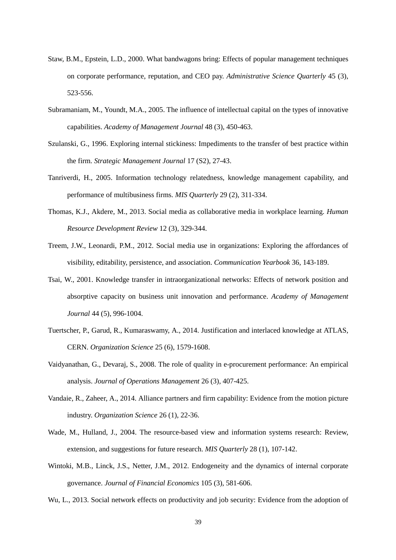- Staw, B.M., Epstein, L.D., 2000. What bandwagons bring: Effects of popular management techniques on corporate performance, reputation, and CEO pay. *Administrative Science Quarterly* 45 (3), 523-556.
- Subramaniam, M., Youndt, M.A., 2005. The influence of intellectual capital on the types of innovative capabilities. *Academy of Management Journal* 48 (3), 450-463.
- Szulanski, G., 1996. Exploring internal stickiness: Impediments to the transfer of best practice within the firm. *Strategic Management Journal* 17 (S2), 27-43.
- Tanriverdi, H., 2005. Information technology relatedness, knowledge management capability, and performance of multibusiness firms. *MIS Quarterly* 29 (2), 311-334.
- Thomas, K.J., Akdere, M., 2013. Social media as collaborative media in workplace learning. *Human Resource Development Review* 12 (3), 329-344.
- Treem, J.W., Leonardi, P.M., 2012. Social media use in organizations: Exploring the affordances of visibility, editability, persistence, and association. *Communication Yearbook* 36, 143-189.
- Tsai, W., 2001. Knowledge transfer in intraorganizational networks: Effects of network position and absorptive capacity on business unit innovation and performance. *Academy of Management Journal* 44 (5), 996-1004.
- Tuertscher, P., Garud, R., Kumaraswamy, A., 2014. Justification and interlaced knowledge at ATLAS, CERN. *Organization Science* 25 (6), 1579-1608.
- Vaidyanathan, G., Devaraj, S., 2008. The role of quality in e-procurement performance: An empirical analysis. *Journal of Operations Management* 26 (3), 407-425.
- Vandaie, R., Zaheer, A., 2014. Alliance partners and firm capability: Evidence from the motion picture industry. *Organization Science* 26 (1), 22-36.
- Wade, M., Hulland, J., 2004. The resource-based view and information systems research: Review, extension, and suggestions for future research. *MIS Quarterly* 28 (1), 107-142.
- Wintoki, M.B., Linck, J.S., Netter, J.M., 2012. Endogeneity and the dynamics of internal corporate governance. *Journal of Financial Economics* 105 (3), 581-606.
- Wu, L., 2013. Social network effects on productivity and job security: Evidence from the adoption of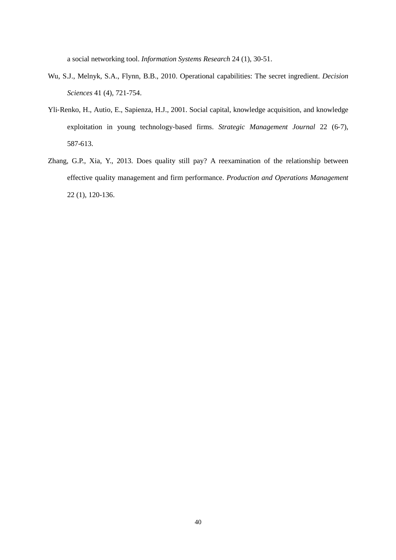a social networking tool. *Information Systems Research* 24 (1), 30-51.

- Wu, S.J., Melnyk, S.A., Flynn, B.B., 2010. Operational capabilities: The secret ingredient. *Decision Sciences* 41 (4), 721-754.
- Yli‐Renko, H., Autio, E., Sapienza, H.J., 2001. Social capital, knowledge acquisition, and knowledge exploitation in young technology‐based firms. *Strategic Management Journal* 22 (6‐7), 587-613.
- Zhang, G.P., Xia, Y., 2013. Does quality still pay? A reexamination of the relationship between effective quality management and firm performance. *Production and Operations Management* 22 (1), 120-136.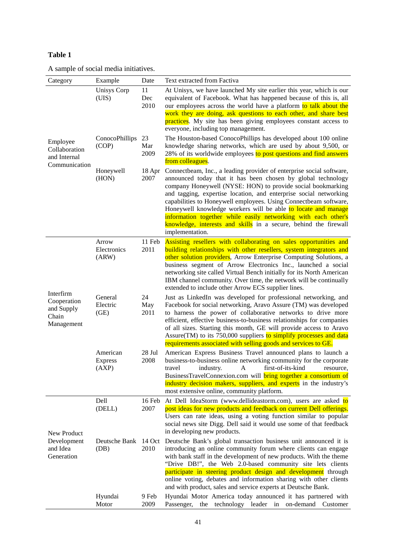| Category                                                      | Example                             | Date              | Text extracted from Factiva                                                                                                                                                                                                                                                                                                                                                                                                                                                                                                                                            |
|---------------------------------------------------------------|-------------------------------------|-------------------|------------------------------------------------------------------------------------------------------------------------------------------------------------------------------------------------------------------------------------------------------------------------------------------------------------------------------------------------------------------------------------------------------------------------------------------------------------------------------------------------------------------------------------------------------------------------|
|                                                               | <b>Unisys Corp</b><br>(UIS)         | 11<br>Dec<br>2010 | At Unisys, we have launched My site earlier this year, which is our<br>equivalent of Facebook. What has happened because of this is, all<br>our employees across the world have a platform to talk about the<br>work they are doing, ask questions to each other, and share best<br>practices. My site has been giving employees constant access to<br>everyone, including top management.                                                                                                                                                                             |
| Employee<br>Collaboration<br>and Internal<br>Communication    | ConocoPhillips<br>(COP)             | 23<br>Mar<br>2009 | The Houston-based ConocoPhillips has developed about 100 online<br>knowledge sharing networks, which are used by about 9,500, or<br>28% of its worldwide employees to post questions and find answers<br>from colleagues.                                                                                                                                                                                                                                                                                                                                              |
|                                                               | Honeywell<br>(HON)                  | 18 Apr<br>2007    | Connectbeam, Inc., a leading provider of enterprise social software,<br>announced today that it has been chosen by global technology<br>company Honeywell (NYSE: HON) to provide social bookmarking<br>and tagging, expertise location, and enterprise social networking<br>capabilities to Honeywell employees. Using Connectbeam software,<br>Honeywell knowledge workers will be able to locate and manage<br>information together while easily networking with each other's<br>knowledge, interests and skills in a secure, behind the firewall<br>implementation. |
|                                                               | Arrow<br>Electronics<br>(ARW)       | 11 Feb<br>2011    | Assisting resellers with collaborating on sales opportunities and<br>building relationships with other resellers, system integrators and<br>other solution providers, Arrow Enterprise Computing Solutions, a<br>business segment of Arrow Electronics Inc., launched a social<br>networking site called Virtual Bench initially for its North American<br>IBM channel community. Over time, the network will be continually<br>extended to include other Arrow ECS supplier lines.                                                                                    |
| Interfirm<br>Cooperation<br>and Supply<br>Chain<br>Management | General<br>Electric<br>(GE)         | 24<br>May<br>2011 | Just as LinkedIn was developed for professional networking, and<br>Facebook for social networking, Aravo Assure (TM) was developed<br>to harness the power of collaborative networks to drive more<br>efficient, effective business-to-business relationships for companies<br>of all sizes. Starting this month, GE will provide access to Aravo<br>Assure(TM) to its 750,000 suppliers to simplify processes and data<br>requirements associated with selling goods and services to GE.                                                                              |
|                                                               | American<br><b>Express</b><br>(AXP) | 28 Jul<br>2008    | American Express Business Travel announced plans to launch a<br>business-to-business online networking community for the corporate<br>A first-of-its-kind<br>travel<br>industry.<br>resource,<br>BusinessTravelConnexion.com will bring together a consortium of<br>industry decision makers, suppliers, and experts in the industry's<br>most extensive online, community platform.                                                                                                                                                                                   |
| New Product                                                   | Dell<br>(DELL)                      | 16 Feb<br>2007    | At Dell IdeaStorm (www.dellideastorm.com), users are asked to<br>post ideas for new products and feedback on current Dell offerings.<br>Users can rate ideas, using a voting function similar to popular<br>social news site Digg. Dell said it would use some of that feedback<br>in developing new products.                                                                                                                                                                                                                                                         |
| Development<br>and Idea<br>Generation                         | Deutsche Bank<br>(DB)               | 14 Oct<br>2010    | Deutsche Bank's global transaction business unit announced it is<br>introducing an online community forum where clients can engage<br>with bank staff in the development of new products. With the theme<br>"Drive DB!", the Web 2.0-based community site lets clients                                                                                                                                                                                                                                                                                                 |
|                                                               |                                     |                   | participate in steering product design and development through<br>online voting, debates and information sharing with other clients<br>and with product, sales and service experts at Deutsche Bank.                                                                                                                                                                                                                                                                                                                                                                   |
|                                                               | Hyundai<br>Motor                    | 9 Feb<br>2009     | Hyundai Motor America today announced it has partnered with<br>the technology leader in on-demand<br>Passenger,<br>Customer                                                                                                                                                                                                                                                                                                                                                                                                                                            |

A sample of social media initiatives.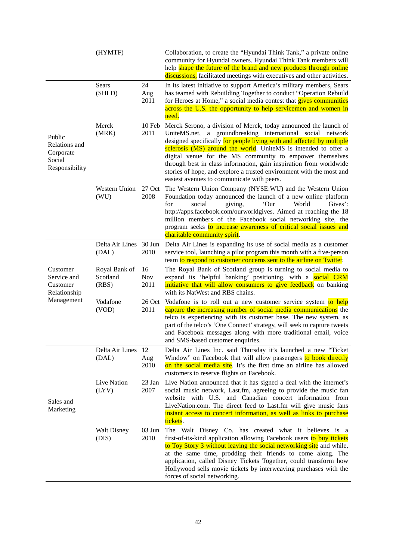|                                                                  | (HYMTF)                            |                          | Collaboration, to create the "Hyundai Think Tank," a private online<br>community for Hyundai owners. Hyundai Think Tank members will<br>help shape the future of the brand and new products through online<br>discussions, facilitated meetings with executives and other activities.                                                                                                                                                                                                                |
|------------------------------------------------------------------|------------------------------------|--------------------------|------------------------------------------------------------------------------------------------------------------------------------------------------------------------------------------------------------------------------------------------------------------------------------------------------------------------------------------------------------------------------------------------------------------------------------------------------------------------------------------------------|
|                                                                  | Sears<br>(SHLD)                    | 24<br>Aug<br>2011        | In its latest initiative to support America's military members, Sears<br>has teamed with Rebuilding Together to conduct "Operation Rebuild<br>for Heroes at Home," a social media contest that gives communities<br>across the U.S. the opportunity to help servicemen and women in                                                                                                                                                                                                                  |
| Public<br>Relations and<br>Corporate<br>Social<br>Responsibility | Merck<br>(MRK)                     | 2011                     | need.<br>10 Feb Merck Serono, a division of Merck, today announced the launch of<br>UniteMS.net, a groundbreaking international social network<br>designed specifically for people living with and affected by multiple<br>sclerosis (MS) around the world. UniteMS is intended to offer a<br>digital venue for the MS community to empower themselves<br>through best in class information, gain inspiration from worldwide<br>stories of hope, and explore a trusted environment with the most and |
|                                                                  | Western Union<br>(WU)              | 27 Oct<br>2008           | easiest avenues to communicate with peers.<br>The Western Union Company (NYSE:WU) and the Western Union<br>Foundation today announced the launch of a new online platform<br>for<br>social<br>giving,<br>'Our<br>World<br>Gives':<br>http://apps.facebook.com/ourworldgives. Aimed at reaching the 18<br>million members of the Facebook social networking site, the<br>program seeks to increase awareness of critical social issues and<br>charitable community spirit.                            |
|                                                                  | (DAL)                              | 2010                     | Delta Air Lines 30 Jun Delta Air Lines is expanding its use of social media as a customer<br>service tool, launching a pilot program this month with a five-person<br>team to respond to customer concerns sent to the airline on Twitter.                                                                                                                                                                                                                                                           |
| Customer<br>Service and<br>Customer<br>Relationship              | Royal Bank of<br>Scotland<br>(RBS) | 16<br><b>Nov</b><br>2011 | The Royal Bank of Scotland group is turning to social media to<br>expand its 'helpful banking' positioning, with a social CRM<br>initiative that will allow consumers to give feedback on banking<br>with its NatWest and RBS chains.                                                                                                                                                                                                                                                                |
| Management                                                       | Vodafone<br>(VOD)                  | 26 Oct<br>2011           | Vodafone is to roll out a new customer service system to help<br>capture the increasing number of social media communications the<br>telco is experiencing with its customer base. The new system, as<br>part of the telco's 'One Connect' strategy, will seek to capture tweets<br>and Facebook messages along with more traditional email, voice<br>and SMS-based customer enquiries.                                                                                                              |
|                                                                  | Delta Air Lines 12<br>(DAL)        | Aug<br>2010              | Delta Air Lines Inc. said Thursday it's launched a new "Ticket<br>Window" on Facebook that will allow passengers to book directly<br>on the social media site. It's the first time an airline has allowed<br>customers to reserve flights on Facebook.                                                                                                                                                                                                                                               |
| Sales and<br>Marketing                                           | Live Nation<br>(LYV)               | 23 Jan<br>2007           | Live Nation announced that it has signed a deal with the internet's<br>social music network, Last.fm, agreeing to provide the music fan<br>website with U.S. and Canadian concert information from<br>LiveNation.com. The direct feed to Last.fm will give music fans<br>instant access to concert information, as well as links to purchase<br>tickets.                                                                                                                                             |
|                                                                  | <b>Walt Disney</b><br>(DIS)        | 03 Jun<br>2010           | The Walt Disney Co. has created what it believes is a<br>first-of-its-kind application allowing Facebook users to buy tickets<br>to Toy Story 3 without leaving the social networking site and while,<br>at the same time, prodding their friends to come along. The<br>application, called Disney Tickets Together, could transform how<br>Hollywood sells movie tickets by interweaving purchases with the<br>forces of social networking.                                                         |
|                                                                  |                                    |                          |                                                                                                                                                                                                                                                                                                                                                                                                                                                                                                      |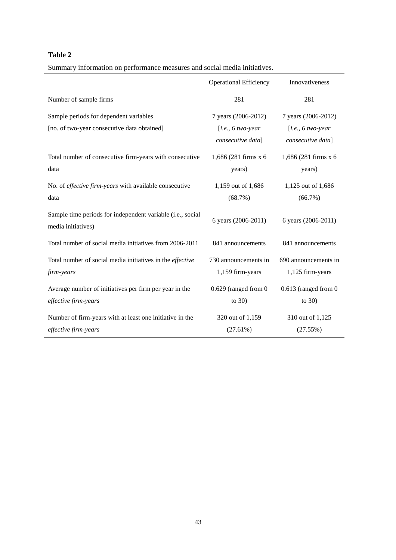|                                                                                  | <b>Operational Efficiency</b> | Innovativeness           |
|----------------------------------------------------------------------------------|-------------------------------|--------------------------|
| Number of sample firms                                                           | 281                           | 281                      |
| Sample periods for dependent variables                                           | 7 years (2006-2012)           | 7 years (2006-2012)      |
| [no. of two-year consecutive data obtained]                                      | $[i.e., 6 two-year]$          | [i.e., $6$ two-year      |
|                                                                                  | consecutive data]             | consecutive data]        |
| Total number of consecutive firm-years with consecutive                          | 1,686 (281 firms x 6)         | 1,686 (281 firms x 6     |
| data                                                                             | years)                        | years)                   |
| No. of effective firm-years with available consecutive                           | 1,159 out of 1,686            | 1,125 out of 1,686       |
| data                                                                             | (68.7%)                       | (66.7%)                  |
| Sample time periods for independent variable (i.e., social<br>media initiatives) | 6 years (2006-2011)           | 6 years (2006-2011)      |
| Total number of social media initiatives from 2006-2011                          | 841 announcements             | 841 announcements        |
| Total number of social media initiatives in the effective                        | 730 announcements in          | 690 announcements in     |
| firm-years                                                                       | 1,159 firm-years              | 1,125 firm-years         |
| Average number of initiatives per firm per year in the                           | $0.629$ (ranged from 0        | $0.613$ (ranged from $0$ |
| effective firm-years                                                             | to $30)$                      | to $30)$                 |
| Number of firm-years with at least one initiative in the                         | 320 out of 1,159              | 310 out of 1,125         |
| effective firm-years                                                             | (27.61%)                      | (27.55%)                 |

Summary information on performance measures and social media initiatives.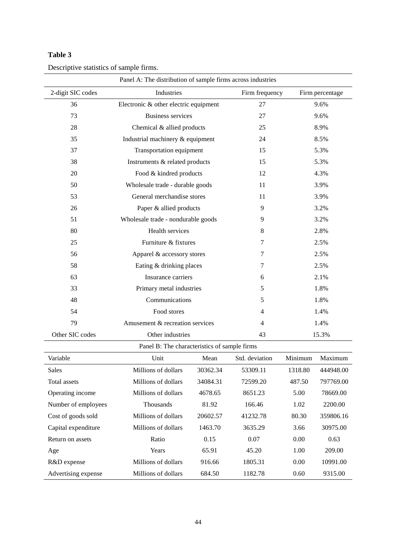| Panel A: The distribution of sample firms across industries |                                              |                 |                |                     |           |  |  |  |
|-------------------------------------------------------------|----------------------------------------------|-----------------|----------------|---------------------|-----------|--|--|--|
| 2-digit SIC codes                                           | Industries                                   | Firm frequency  |                | Firm percentage     |           |  |  |  |
| 36                                                          | Electronic & other electric equipment        | 27              |                | 9.6%                |           |  |  |  |
| 73                                                          | <b>Business services</b>                     |                 | 27<br>9.6%     |                     |           |  |  |  |
| 28                                                          | Chemical & allied products                   |                 | 25             | 8.9%                |           |  |  |  |
| 35                                                          | Industrial machinery & equipment             |                 | 24             |                     | 8.5%      |  |  |  |
| 37                                                          | Transportation equipment                     |                 | 15             | 5.3%                |           |  |  |  |
| 38                                                          | Instruments & related products               |                 | 15             |                     | 5.3%      |  |  |  |
| 20                                                          | Food & kindred products                      |                 | 12             |                     | 4.3%      |  |  |  |
| 50                                                          | Wholesale trade - durable goods              |                 | 11             |                     | 3.9%      |  |  |  |
| 53                                                          | General merchandise stores                   |                 | 11             |                     | 3.9%      |  |  |  |
| 26                                                          | Paper & allied products                      |                 | 9              |                     | 3.2%      |  |  |  |
| 51                                                          | Wholesale trade - nondurable goods           |                 | 9              |                     | 3.2%      |  |  |  |
| 80                                                          | Health services                              |                 | 8              |                     | 2.8%      |  |  |  |
| 25                                                          | Furniture & fixtures                         |                 | 7              | 2.5%                |           |  |  |  |
| 56                                                          | Apparel & accessory stores                   | 7               |                | 2.5%                |           |  |  |  |
| 58                                                          | Eating & drinking places                     | 7               |                | 2.5%                |           |  |  |  |
| 63                                                          | Insurance carriers                           | 6               |                | 2.1%                |           |  |  |  |
| 33                                                          | Primary metal industries                     | 5               |                | 1.8%                |           |  |  |  |
| 48                                                          | Communications                               | 5               |                | 1.8%                |           |  |  |  |
| 54                                                          | Food stores                                  | 4               |                | 1.4%                |           |  |  |  |
| 79                                                          | Amusement & recreation services              |                 | 4              |                     | 1.4%      |  |  |  |
| Other SIC codes                                             | Other industries                             | 43              |                | 15.3%               |           |  |  |  |
|                                                             | Panel B: The characteristics of sample firms |                 |                |                     |           |  |  |  |
| Variable                                                    | Unit                                         | Mean            | Std. deviation | Minimum             | Maximum   |  |  |  |
| Sales                                                       | Millions of dollars                          | 30362.34        | 53309.11       | 1318.80             | 444948.00 |  |  |  |
| Total assets                                                | Millions of dollars                          | 34084.31        | 72599.20       | 487.50<br>797769.00 |           |  |  |  |
| Operating income                                            | Millions of dollars<br>4678.65               |                 | 8651.23        | 5.00<br>78669.00    |           |  |  |  |
| Number of employees                                         | Thousands                                    | 166.46<br>81.92 |                | 1.02                | 2200.00   |  |  |  |
| Cost of goods sold                                          | Millions of dollars<br>20602.57              |                 | 41232.78       | 80.30<br>359806.16  |           |  |  |  |
| Capital expenditure                                         | Millions of dollars<br>1463.70               |                 | 3635.29        | 3.66<br>30975.00    |           |  |  |  |
| Return on assets                                            | Ratio<br>0.15<br>0.07                        |                 | 0.00<br>0.63   |                     |           |  |  |  |
| Age                                                         | Years                                        | 65.91           | 45.20          | 1.00                | 209.00    |  |  |  |
| R&D expense                                                 | Millions of dollars                          | 916.66          | 1805.31        | 0.00                | 10991.00  |  |  |  |
| Advertising expense                                         | Millions of dollars                          | 684.50          | 1182.78        | 0.60                | 9315.00   |  |  |  |

Descriptive statistics of sample firms.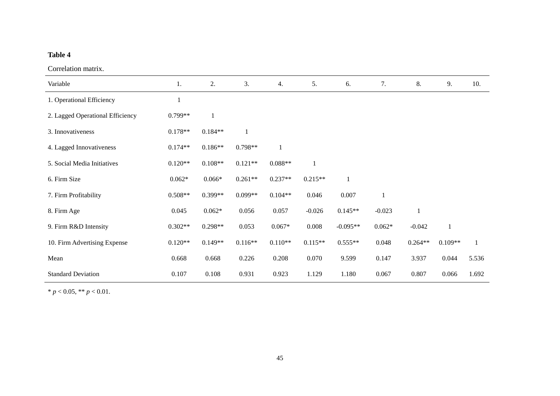Correlation matrix.

| Variable                         | 1.        | 2.           | 3.        | 4.           | 5.           | 6.         | 7.       | 8.        | 9.           | 10.          |
|----------------------------------|-----------|--------------|-----------|--------------|--------------|------------|----------|-----------|--------------|--------------|
| 1. Operational Efficiency        | 1         |              |           |              |              |            |          |           |              |              |
| 2. Lagged Operational Efficiency | 0.799**   | $\mathbf{1}$ |           |              |              |            |          |           |              |              |
| 3. Innovativeness                | $0.178**$ | $0.184**$    | 1         |              |              |            |          |           |              |              |
| 4. Lagged Innovativeness         | $0.174**$ | $0.186**$    | 0.798**   | $\mathbf{1}$ |              |            |          |           |              |              |
| 5. Social Media Initiatives      | $0.120**$ | $0.108**$    | $0.121**$ | $0.088**$    | $\mathbf{1}$ |            |          |           |              |              |
| 6. Firm Size                     | $0.062*$  | $0.066*$     | $0.261**$ | $0.237**$    | $0.215**$    |            |          |           |              |              |
| 7. Firm Profitability            | $0.508**$ | 0.399**      | $0.099**$ | $0.104**$    | 0.046        | 0.007      | 1        |           |              |              |
| 8. Firm Age                      | 0.045     | $0.062*$     | 0.056     | 0.057        | $-0.026$     | $0.145**$  | $-0.023$ |           |              |              |
| 9. Firm R&D Intensity            | $0.302**$ | $0.298**$    | 0.053     | $0.067*$     | 0.008        | $-0.095**$ | $0.062*$ | $-0.042$  | $\mathbf{1}$ |              |
| 10. Firm Advertising Expense     | $0.120**$ | $0.149**$    | $0.116**$ | $0.110**$    | $0.115**$    | $0.555**$  | 0.048    | $0.264**$ | $0.109**$    | $\mathbf{1}$ |
| Mean                             | 0.668     | 0.668        | 0.226     | 0.208        | 0.070        | 9.599      | 0.147    | 3.937     | 0.044        | 5.536        |
| <b>Standard Deviation</b>        | 0.107     | 0.108        | 0.931     | 0.923        | 1.129        | 1.180      | 0.067    | 0.807     | 0.066        | 1.692        |

 $* p < 0.05, ** p < 0.01.$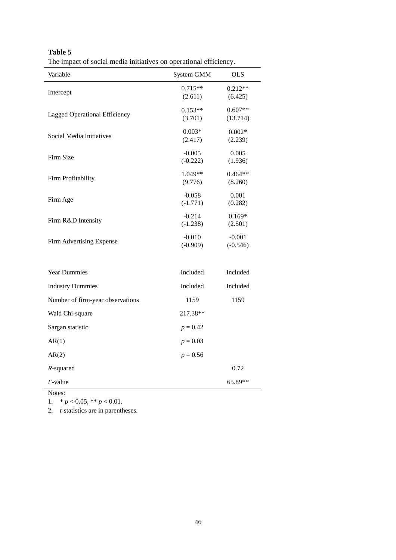| 'N<br>۱.<br>н |  |
|---------------|--|
|---------------|--|

The impact of social media initiatives on operational efficiency.

| Variable                             | System GMM             | <b>OLS</b>           |
|--------------------------------------|------------------------|----------------------|
| Intercept                            | $0.715**$              | $0.212**$            |
|                                      | (2.611)                | (6.425)              |
| <b>Lagged Operational Efficiency</b> | $0.153**$              | $0.607**$            |
|                                      | (3.701)                | (13.714)             |
| Social Media Initiatives             | $0.003*$               | $0.002*$             |
|                                      | (2.417)                | (2.239)              |
| Firm Size                            | $-0.005$<br>$(-0.222)$ | 0.005<br>(1.936)     |
|                                      |                        |                      |
| Firm Profitability                   | 1.049**<br>(9.776)     | $0.464**$<br>(8.260) |
|                                      | $-0.058$               | 0.001                |
| Firm Age                             | $(-1.771)$             | (0.282)              |
|                                      | $-0.214$               | $0.169*$             |
| Firm R&D Intensity                   | $(-1.238)$             | (2.501)              |
| Firm Advertising Expense             | $-0.010$               | $-0.001$             |
|                                      | $(-0.909)$             | $(-0.546)$           |
| <b>Year Dummies</b>                  | Included               | Included             |
| <b>Industry Dummies</b>              | Included               | Included             |
| Number of firm-year observations     | 1159                   | 1159                 |
| Wald Chi-square                      | 217.38**               |                      |
| Sargan statistic                     | $p = 0.42$             |                      |
| AR(1)                                | $p = 0.03$             |                      |
| AR(2)                                | $p = 0.56$             |                      |
| $R$ -squared                         |                        | 0.72                 |
| $F$ -value                           |                        | 65.89**              |

Notes:

1.  $\ast p < 0.05, \ast \ast p < 0.01$ .

2. *t*-statistics are in parentheses.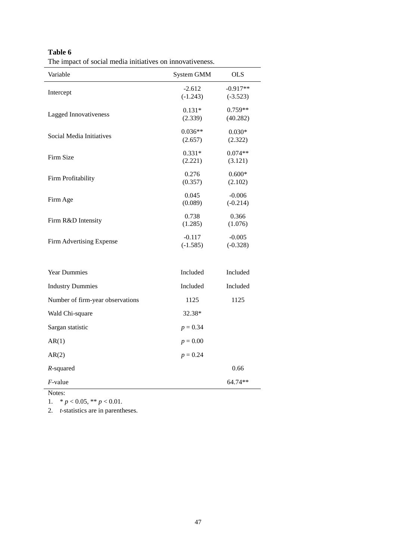| 'able |  |
|-------|--|
|-------|--|

The impact of social media initiatives on innovativeness.

| Variable                         | System GMM             | <b>OLS</b>               |
|----------------------------------|------------------------|--------------------------|
| Intercept                        | $-2.612$<br>$(-1.243)$ | $-0.917**$<br>$(-3.523)$ |
| Lagged Innovativeness            | $0.131*$<br>(2.339)    | $0.759**$<br>(40.282)    |
| Social Media Initiatives         | $0.036**$<br>(2.657)   | $0.030*$<br>(2.322)      |
| Firm Size                        | $0.331*$<br>(2.221)    | $0.074**$<br>(3.121)     |
| Firm Profitability               | 0.276<br>(0.357)       | $0.600*$<br>(2.102)      |
| Firm Age                         | 0.045<br>(0.089)       | $-0.006$<br>$(-0.214)$   |
| Firm R&D Intensity               | 0.738<br>(1.285)       | 0.366<br>(1.076)         |
| Firm Advertising Expense         | $-0.117$<br>$(-1.585)$ | $-0.005$<br>$(-0.328)$   |
| <b>Year Dummies</b>              | Included               | Included                 |
| <b>Industry Dummies</b>          | Included               | Included                 |
| Number of firm-year observations | 1125                   | 1125                     |
| Wald Chi-square                  | 32.38*                 |                          |
| Sargan statistic                 | $p = 0.34$             |                          |
| AR(1)                            | $p = 0.00$             |                          |
| AR(2)                            | $p = 0.24$             |                          |
| $R$ -squared                     |                        | 0.66                     |
| $F$ -value                       |                        | 64.74**                  |

Notes:

1.  $\ast p < 0.05, \ast \ast p < 0.01$ .

2. *t*-statistics are in parentheses.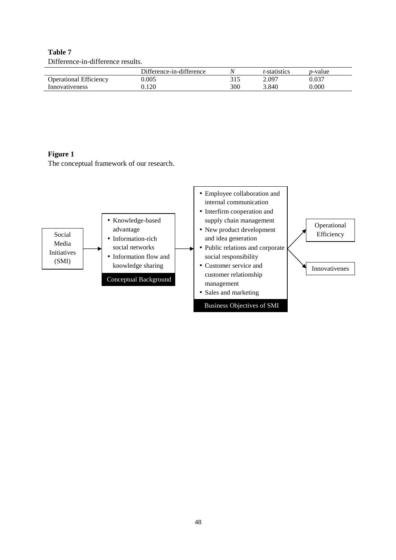**Table 7**  Difference-in-difference results.

|                               | Difference-in-difference |     | t-statistics | <i>p</i> -value |
|-------------------------------|--------------------------|-----|--------------|-----------------|
| <b>Operational Efficiency</b> | 0.005                    | 315 | 2.097        | 0.037           |
| Innovativeness                | 0.120                    | 300 | 3.840        | $0.000\,$       |

## **Figure 1**

The conceptual framework of our research.